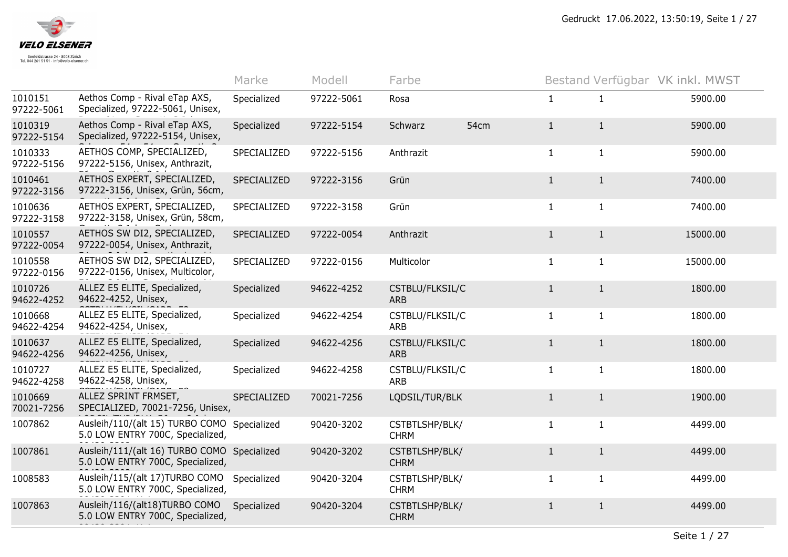

|                       |                                                                                 | Marke       | Modell     | Farbe                         |      |              | Bestand Verfügbar VK inkl. MWST |          |
|-----------------------|---------------------------------------------------------------------------------|-------------|------------|-------------------------------|------|--------------|---------------------------------|----------|
| 1010151<br>97222-5061 | Aethos Comp - Rival eTap AXS,<br>Specialized, 97222-5061, Unisex,               | Specialized | 97222-5061 | Rosa                          |      | $\mathbf{1}$ | $\mathbf{1}$                    | 5900.00  |
| 1010319<br>97222-5154 | Aethos Comp - Rival eTap AXS,<br>Specialized, 97222-5154, Unisex,               | Specialized | 97222-5154 | Schwarz                       | 54cm | $\mathbf{1}$ | $\mathbf{1}$                    | 5900.00  |
| 1010333<br>97222-5156 | AETHOS COMP, SPECIALIZED,<br>97222-5156, Unisex, Anthrazit,                     | SPECIALIZED | 97222-5156 | Anthrazit                     |      | $\mathbf{1}$ | $\mathbf{1}$                    | 5900.00  |
| 1010461<br>97222-3156 | AETHOS EXPERT, SPECIALIZED,<br>97222-3156, Unisex, Grün, 56cm,                  | SPECIALIZED | 97222-3156 | Grün                          |      | $\mathbf{1}$ | $\mathbf{1}$                    | 7400.00  |
| 1010636<br>97222-3158 | AETHOS EXPERT, SPECIALIZED,<br>97222-3158, Unisex, Grün, 58cm,                  | SPECIALIZED | 97222-3158 | Grün                          |      | $\mathbf{1}$ | $\mathbf{1}$                    | 7400.00  |
| 1010557<br>97222-0054 | AETHOS SW DI2, SPECIALIZED,<br>97222-0054, Unisex, Anthrazit,                   | SPECIALIZED | 97222-0054 | Anthrazit                     |      | $\mathbf{1}$ | $\mathbf{1}$                    | 15000.00 |
| 1010558<br>97222-0156 | AETHOS SW DI2, SPECIALIZED,<br>97222-0156, Unisex, Multicolor,                  | SPECIALIZED | 97222-0156 | Multicolor                    |      | $\mathbf{1}$ | $\mathbf{1}$                    | 15000.00 |
| 1010726<br>94622-4252 | ALLEZ E5 ELITE, Specialized,<br>94622-4252, Unisex,                             | Specialized | 94622-4252 | CSTBLU/FLKSIL/C<br><b>ARB</b> |      | $\mathbf{1}$ | $\mathbf{1}$                    | 1800.00  |
| 1010668<br>94622-4254 | ALLEZ E5 ELITE, Specialized,<br>94622-4254, Unisex,                             | Specialized | 94622-4254 | CSTBLU/FLKSIL/C<br>ARB        |      | $\mathbf{1}$ | $\mathbf{1}$                    | 1800.00  |
| 1010637<br>94622-4256 | ALLEZ E5 ELITE, Specialized,<br>94622-4256, Unisex,                             | Specialized | 94622-4256 | CSTBLU/FLKSIL/C<br><b>ARB</b> |      | $\mathbf{1}$ | $\mathbf{1}$                    | 1800.00  |
| 1010727<br>94622-4258 | ALLEZ E5 ELITE, Specialized,<br>94622-4258, Unisex,                             | Specialized | 94622-4258 | CSTBLU/FLKSIL/C<br>ARB        |      | $\mathbf{1}$ | $\mathbf{1}$                    | 1800.00  |
| 1010669<br>70021-7256 | ALLEZ SPRINT FRMSET,<br>SPECIALIZED, 70021-7256, Unisex,                        | SPECIALIZED | 70021-7256 | LQDSIL/TUR/BLK                |      | $\mathbf{1}$ | $\mathbf{1}$                    | 1900.00  |
| 1007862               | Ausleih/110/(alt 15) TURBO COMO Specialized<br>5.0 LOW ENTRY 700C, Specialized, |             | 90420-3202 | CSTBTLSHP/BLK/<br><b>CHRM</b> |      | $\mathbf{1}$ | 1                               | 4499.00  |
| 1007861               | Ausleih/111/(alt 16) TURBO COMO Specialized<br>5.0 LOW ENTRY 700C, Specialized, |             | 90420-3202 | CSTBTLSHP/BLK/<br><b>CHRM</b> |      | $\mathbf{1}$ | $\mathbf{1}$                    | 4499.00  |
| 1008583               | Ausleih/115/(alt 17)TURBO COMO<br>5.0 LOW ENTRY 700C, Specialized,              | Specialized | 90420-3204 | CSTBTLSHP/BLK/<br><b>CHRM</b> |      | $\mathbf{1}$ | $\mathbf{1}$                    | 4499.00  |
| 1007863               | Ausleih/116/(alt18)TURBO COMO<br>5.0 LOW ENTRY 700C, Specialized,               | Specialized | 90420-3204 | CSTBTLSHP/BLK/<br><b>CHRM</b> |      | $\mathbf{1}$ | $\mathbf{1}$                    | 4499.00  |
|                       |                                                                                 |             |            |                               |      |              |                                 |          |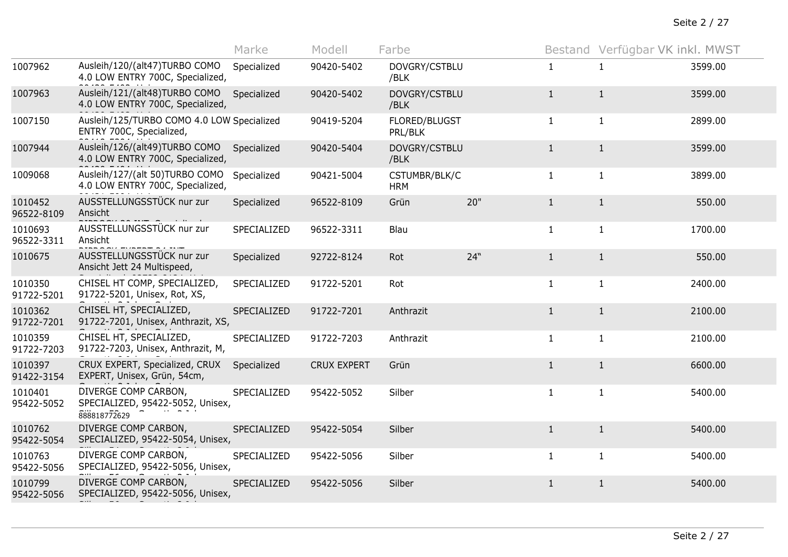Seite 2 / 27

|                       |                                                                          | Marke       | Modell             | Farbe                       |     |              | Bestand Verfügbar VK inkl. MWST |         |
|-----------------------|--------------------------------------------------------------------------|-------------|--------------------|-----------------------------|-----|--------------|---------------------------------|---------|
| 1007962               | Ausleih/120/(alt47)TURBO COMO<br>4.0 LOW ENTRY 700C, Specialized,        | Specialized | 90420-5402         | DOVGRY/CSTBLU<br>/BLK       |     | $\mathbf{1}$ | $\mathbf{1}$                    | 3599.00 |
| 1007963               | Ausleih/121/(alt48)TURBO COMO<br>4.0 LOW ENTRY 700C, Specialized,        | Specialized | 90420-5402         | DOVGRY/CSTBLU<br>/BLK       |     | $\mathbf{1}$ | $\mathbf{1}$                    | 3599.00 |
| 1007150               | Ausleih/125/TURBO COMO 4.0 LOW Specialized<br>ENTRY 700C, Specialized,   |             | 90419-5204         | FLORED/BLUGST<br>PRL/BLK    |     | $\mathbf{1}$ | $\mathbf{1}$                    | 2899.00 |
| 1007944               | Ausleih/126/(alt49)TURBO COMO<br>4.0 LOW ENTRY 700C, Specialized,        | Specialized | 90420-5404         | DOVGRY/CSTBLU<br>/BLK       |     | $\mathbf{1}$ | $\mathbf{1}$                    | 3599.00 |
| 1009068               | Ausleih/127/(alt 50)TURBO COMO<br>4.0 LOW ENTRY 700C, Specialized,       | Specialized | 90421-5004         | CSTUMBR/BLK/C<br><b>HRM</b> |     | $\mathbf{1}$ | $\mathbf{1}$                    | 3899.00 |
| 1010452<br>96522-8109 | AUSSTELLUNGSSTÜCK nur zur<br>Ansicht                                     | Specialized | 96522-8109         | Grün                        | 20" | $\mathbf{1}$ | $\mathbf{1}$                    | 550.00  |
| 1010693<br>96522-3311 | AUSSTELLUNGSSTÜCK nur zur<br>Ansicht                                     | SPECIALIZED | 96522-3311         | Blau                        |     | $\mathbf{1}$ | $\mathbf{1}$                    | 1700.00 |
| 1010675               | AUSSTELLUNGSSTÜCK nur zur<br>Ansicht Jett 24 Multispeed,                 | Specialized | 92722-8124         | Rot                         | 24" | $\mathbf{1}$ | $\mathbf{1}$                    | 550.00  |
| 1010350<br>91722-5201 | CHISEL HT COMP, SPECIALIZED,<br>91722-5201, Unisex, Rot, XS,             | SPECIALIZED | 91722-5201         | Rot                         |     | $\mathbf{1}$ | $\mathbf{1}$                    | 2400.00 |
| 1010362<br>91722-7201 | CHISEL HT, SPECIALIZED,<br>91722-7201, Unisex, Anthrazit, XS,            | SPECIALIZED | 91722-7201         | Anthrazit                   |     | $\mathbf{1}$ | 1                               | 2100.00 |
| 1010359<br>91722-7203 | CHISEL HT, SPECIALIZED,<br>91722-7203, Unisex, Anthrazit, M,             | SPECIALIZED | 91722-7203         | Anthrazit                   |     | $\mathbf{1}$ | $\mathbf{1}$                    | 2100.00 |
| 1010397<br>91422-3154 | CRUX EXPERT, Specialized, CRUX<br>EXPERT, Unisex, Grün, 54cm,            | Specialized | <b>CRUX EXPERT</b> | Grün                        |     | $\mathbf{1}$ | $\mathbf{1}$                    | 6600.00 |
| 1010401<br>95422-5052 | DIVERGE COMP CARBON,<br>SPECIALIZED, 95422-5052, Unisex,<br>888818772629 | SPECIALIZED | 95422-5052         | Silber                      |     | $\mathbf{1}$ | $\mathbf{1}$                    | 5400.00 |
| 1010762<br>95422-5054 | DIVERGE COMP CARBON,<br>SPECIALIZED, 95422-5054, Unisex,                 | SPECIALIZED | 95422-5054         | Silber                      |     | $\mathbf{1}$ | $\mathbf{1}$                    | 5400.00 |
| 1010763<br>95422-5056 | DIVERGE COMP CARBON,<br>SPECIALIZED, 95422-5056, Unisex,                 | SPECIALIZED | 95422-5056         | Silber                      |     | $\mathbf{1}$ | $\mathbf{1}$                    | 5400.00 |
| 1010799<br>95422-5056 | DIVERGE COMP CARBON,<br>SPECIALIZED, 95422-5056, Unisex,                 | SPECIALIZED | 95422-5056         | Silber                      |     | $\mathbf{1}$ | $\mathbf{1}$                    | 5400.00 |
|                       |                                                                          |             |                    |                             |     |              |                                 |         |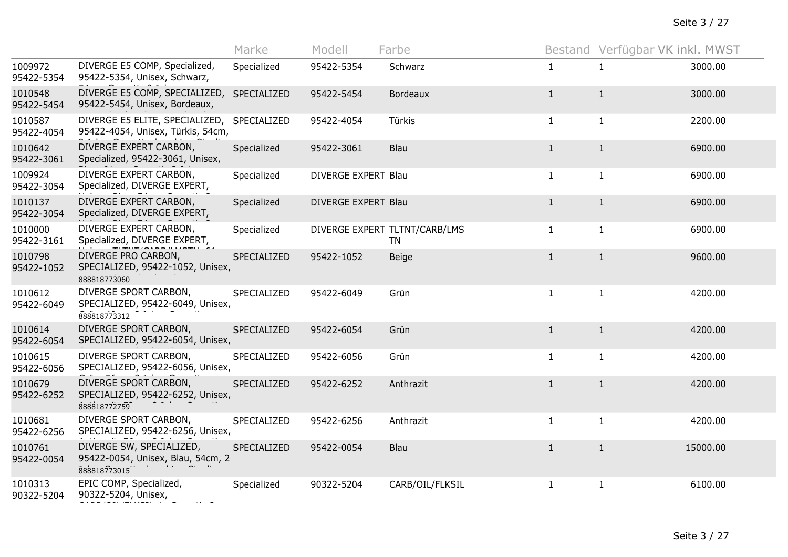|                       |                                                                               | Marke       | Modell              | Farbe                               |              | Bestand Verfügbar VK inkl. MWST |          |
|-----------------------|-------------------------------------------------------------------------------|-------------|---------------------|-------------------------------------|--------------|---------------------------------|----------|
| 1009972<br>95422-5354 | DIVERGE E5 COMP, Specialized,<br>95422-5354, Unisex, Schwarz,                 | Specialized | 95422-5354          | Schwarz                             | $\mathbf{1}$ | 1                               | 3000.00  |
| 1010548<br>95422-5454 | DIVERGE E5 COMP, SPECIALIZED,<br>95422-5454, Unisex, Bordeaux,                | SPECIALIZED | 95422-5454          | <b>Bordeaux</b>                     | $\mathbf{1}$ | $\mathbf{1}$                    | 3000.00  |
| 1010587<br>95422-4054 | DIVERGE E5 ELITE, SPECIALIZED,<br>95422-4054, Unisex, Türkis, 54cm,           | SPECIALIZED | 95422-4054          | Türkis                              | $\mathbf{1}$ | $\mathbf{1}$                    | 2200.00  |
| 1010642<br>95422-3061 | DIVERGE EXPERT CARBON,<br>Specialized, 95422-3061, Unisex,                    | Specialized | 95422-3061          | Blau                                | $\mathbf{1}$ | $\mathbf{1}$                    | 6900.00  |
| 1009924<br>95422-3054 | DIVERGE EXPERT CARBON,<br>Specialized, DIVERGE EXPERT,                        | Specialized | DIVERGE EXPERT Blau |                                     | $\mathbf{1}$ | $\mathbf{1}$                    | 6900.00  |
| 1010137<br>95422-3054 | DIVERGE EXPERT CARBON,<br>Specialized, DIVERGE EXPERT,                        | Specialized | DIVERGE EXPERT Blau |                                     | $\mathbf{1}$ | $\mathbf{1}$                    | 6900.00  |
| 1010000<br>95422-3161 | DIVERGE EXPERT CARBON,<br>Specialized, DIVERGE EXPERT,                        | Specialized |                     | DIVERGE EXPERT TLTNT/CARB/LMS<br>TN | $\mathbf{1}$ | $\mathbf{1}$                    | 6900.00  |
| 1010798<br>95422-1052 | DIVERGE PRO CARBON,<br>SPECIALIZED, 95422-1052, Unisex,<br>888818773060       | SPECIALIZED | 95422-1052          | Beige                               | $\mathbf{1}$ | $\mathbf{1}$                    | 9600.00  |
| 1010612<br>95422-6049 | DIVERGE SPORT CARBON,<br>SPECIALIZED, 95422-6049, Unisex,<br>888818773312     | SPECIALIZED | 95422-6049          | Grün                                | $\mathbf{1}$ | $\mathbf{1}$                    | 4200.00  |
| 1010614<br>95422-6054 | DIVERGE SPORT CARBON,<br>SPECIALIZED, 95422-6054, Unisex,                     | SPECIALIZED | 95422-6054          | Grün                                | $\mathbf{1}$ | $\mathbf{1}$                    | 4200.00  |
| 1010615<br>95422-6056 | DIVERGE SPORT CARBON,<br>SPECIALIZED, 95422-6056, Unisex,                     | SPECIALIZED | 95422-6056          | Grün                                | $\mathbf{1}$ | $\mathbf{1}$                    | 4200.00  |
| 1010679<br>95422-6252 | DIVERGE SPORT CARBON,<br>SPECIALIZED, 95422-6252, Unisex,<br>888818772759     | SPECIALIZED | 95422-6252          | Anthrazit                           | $\mathbf{1}$ | $\mathbf{1}$                    | 4200.00  |
| 1010681<br>95422-6256 | DIVERGE SPORT CARBON,<br>SPECIALIZED, 95422-6256, Unisex,                     | SPECIALIZED | 95422-6256          | Anthrazit                           | $\mathbf{1}$ | $\mathbf{1}$                    | 4200.00  |
| 1010761<br>95422-0054 | DIVERGE SW, SPECIALIZED,<br>95422-0054, Unisex, Blau, 54cm, 2<br>888818773015 | SPECIALIZED | 95422-0054          | <b>Blau</b>                         | $\mathbf{1}$ | $\mathbf{1}$                    | 15000.00 |
| 1010313<br>90322-5204 | EPIC COMP, Specialized,<br>90322-5204, Unisex,                                | Specialized | 90322-5204          | CARB/OIL/FLKSIL                     | $\mathbf{1}$ | $\mathbf{1}$                    | 6100.00  |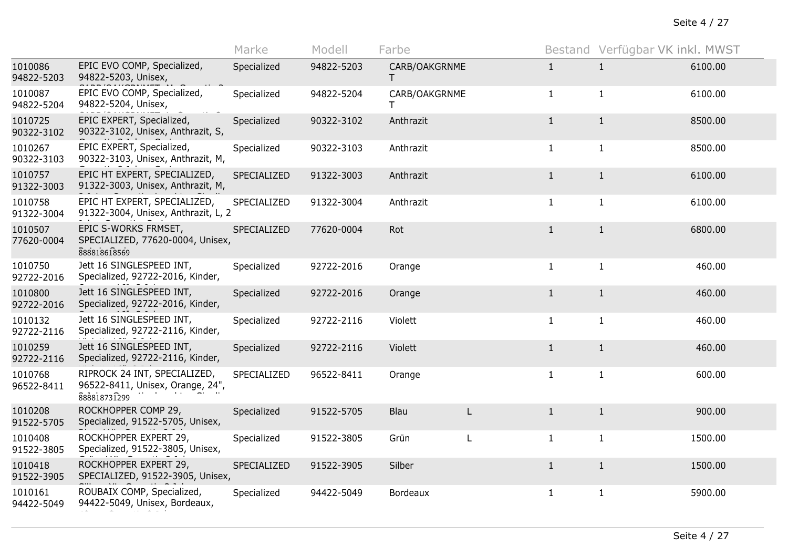|                       |                                                                                  | Marke       | Modell     | Farbe               |   |              | Bestand Verfügbar VK inkl. MWST |         |
|-----------------------|----------------------------------------------------------------------------------|-------------|------------|---------------------|---|--------------|---------------------------------|---------|
| 1010086<br>94822-5203 | EPIC EVO COMP, Specialized,<br>94822-5203, Unisex,                               | Specialized | 94822-5203 | CARB/OAKGRNME<br>T. |   | $\mathbf{1}$ | 1                               | 6100.00 |
| 1010087<br>94822-5204 | EPIC EVO COMP, Specialized,<br>94822-5204, Unisex,                               | Specialized | 94822-5204 | CARB/OAKGRNME       |   | $\mathbf{1}$ | $\mathbf{1}$                    | 6100.00 |
| 1010725<br>90322-3102 | EPIC EXPERT, Specialized,<br>90322-3102, Unisex, Anthrazit, S,                   | Specialized | 90322-3102 | Anthrazit           |   | $\mathbf{1}$ | $\mathbf{1}$                    | 8500.00 |
| 1010267<br>90322-3103 | EPIC EXPERT, Specialized,<br>90322-3103, Unisex, Anthrazit, M,                   | Specialized | 90322-3103 | Anthrazit           |   | $\mathbf{1}$ | $\mathbf{1}$                    | 8500.00 |
| 1010757<br>91322-3003 | EPIC HT EXPERT, SPECIALIZED,<br>91322-3003, Unisex, Anthrazit, M,                | SPECIALIZED | 91322-3003 | Anthrazit           |   | $\mathbf{1}$ | $\mathbf{1}$                    | 6100.00 |
| 1010758<br>91322-3004 | EPIC HT EXPERT, SPECIALIZED,<br>91322-3004, Unisex, Anthrazit, L, 2              | SPECIALIZED | 91322-3004 | Anthrazit           |   | $\mathbf{1}$ | $\mathbf{1}$                    | 6100.00 |
| 1010507<br>77620-0004 | EPIC S-WORKS FRMSET,<br>SPECIALIZED, 77620-0004, Unisex,<br>888818618569         | SPECIALIZED | 77620-0004 | Rot                 |   | $\mathbf{1}$ | $\mathbf{1}$                    | 6800.00 |
| 1010750<br>92722-2016 | Jett 16 SINGLESPEED INT,<br>Specialized, 92722-2016, Kinder,                     | Specialized | 92722-2016 | Orange              |   | $\mathbf{1}$ | $\mathbf{1}$                    | 460.00  |
| 1010800<br>92722-2016 | Jett 16 SINGLESPEED INT,<br>Specialized, 92722-2016, Kinder,                     | Specialized | 92722-2016 | Orange              |   | $\mathbf{1}$ | $\mathbf{1}$                    | 460.00  |
| 1010132<br>92722-2116 | Jett 16 SINGLESPEED INT,<br>Specialized, 92722-2116, Kinder,                     | Specialized | 92722-2116 | Violett             |   | $\mathbf{1}$ | $\mathbf{1}$                    | 460.00  |
| 1010259<br>92722-2116 | Jett 16 SINGLESPEED INT,<br>Specialized, 92722-2116, Kinder,                     | Specialized | 92722-2116 | Violett             |   | $\mathbf{1}$ | $\mathbf{1}$                    | 460.00  |
| 1010768<br>96522-8411 | RIPROCK 24 INT, SPECIALIZED,<br>96522-8411, Unisex, Orange, 24",<br>888818731299 | SPECIALIZED | 96522-8411 | Orange              |   | $\mathbf{1}$ | $\mathbf{1}$                    | 600.00  |
| 1010208<br>91522-5705 | ROCKHOPPER COMP 29,<br>Specialized, 91522-5705, Unisex,                          | Specialized | 91522-5705 | Blau                | L | 1            | $\mathbf{1}$                    | 900.00  |
| 1010408<br>91522-3805 | ROCKHOPPER EXPERT 29,<br>Specialized, 91522-3805, Unisex,                        | Specialized | 91522-3805 | Grün                | L | $\mathbf{1}$ | $\mathbf{1}$                    | 1500.00 |
| 1010418<br>91522-3905 | ROCKHOPPER EXPERT 29,<br>SPECIALIZED, 91522-3905, Unisex,                        | SPECIALIZED | 91522-3905 | Silber              |   | $\mathbf{1}$ | $\mathbf{1}$                    | 1500.00 |
| 1010161<br>94422-5049 | ROUBAIX COMP, Specialized,<br>94422-5049, Unisex, Bordeaux,                      | Specialized | 94422-5049 | Bordeaux            |   | $\mathbf{1}$ | $\mathbf{1}$                    | 5900.00 |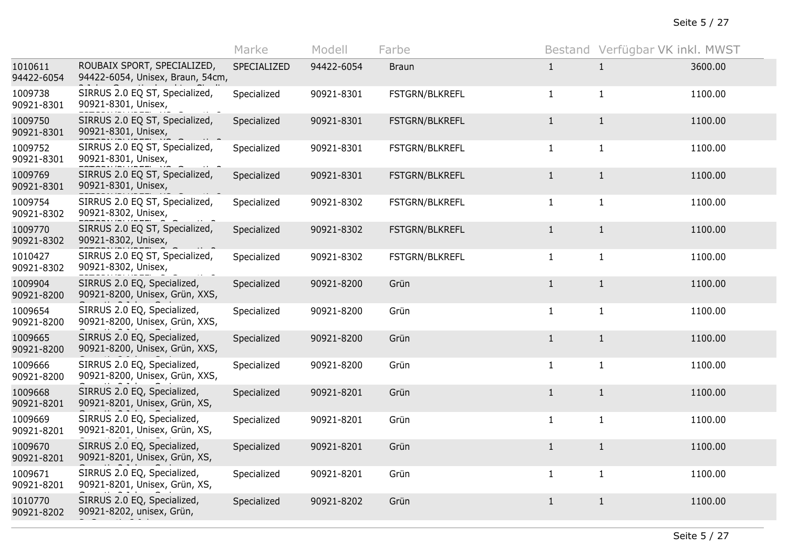|                       |                                                                 | Marke       | Modell     | Farbe                 |              | Bestand Verfügbar VK inkl. MWST |         |
|-----------------------|-----------------------------------------------------------------|-------------|------------|-----------------------|--------------|---------------------------------|---------|
| 1010611<br>94422-6054 | ROUBAIX SPORT, SPECIALIZED,<br>94422-6054, Unisex, Braun, 54cm, | SPECIALIZED | 94422-6054 | <b>Braun</b>          | $\mathbf{1}$ | $\mathbf{1}$                    | 3600.00 |
| 1009738<br>90921-8301 | SIRRUS 2.0 EQ ST, Specialized,<br>90921-8301, Unisex,           | Specialized | 90921-8301 | FSTGRN/BLKREFL        | $\mathbf{1}$ | $\mathbf{1}$                    | 1100.00 |
| 1009750<br>90921-8301 | SIRRUS 2.0 EQ ST, Specialized,<br>90921-8301, Unisex,           | Specialized | 90921-8301 | <b>FSTGRN/BLKREFL</b> | $\mathbf{1}$ | $\mathbf{1}$                    | 1100.00 |
| 1009752<br>90921-8301 | SIRRUS 2.0 EQ ST, Specialized,<br>90921-8301, Unisex,           | Specialized | 90921-8301 | FSTGRN/BLKREFL        | $\mathbf{1}$ | $\mathbf{1}$                    | 1100.00 |
| 1009769<br>90921-8301 | SIRRUS 2.0 EQ ST, Specialized,<br>90921-8301, Unisex,           | Specialized | 90921-8301 | FSTGRN/BLKREFL        | $\mathbf{1}$ | $\mathbf{1}$                    | 1100.00 |
| 1009754<br>90921-8302 | SIRRUS 2.0 EQ ST, Specialized,<br>90921-8302, Unisex,           | Specialized | 90921-8302 | FSTGRN/BLKREFL        | $\mathbf{1}$ | $\mathbf{1}$                    | 1100.00 |
| 1009770<br>90921-8302 | SIRRUS 2.0 EQ ST, Specialized,<br>90921-8302, Unisex,           | Specialized | 90921-8302 | FSTGRN/BLKREFL        | $\mathbf{1}$ | $\mathbf{1}$                    | 1100.00 |
| 1010427<br>90921-8302 | SIRRUS 2.0 EQ ST, Specialized,<br>90921-8302, Unisex,           | Specialized | 90921-8302 | FSTGRN/BLKREFL        | $\mathbf{1}$ | $\mathbf{1}$                    | 1100.00 |
| 1009904<br>90921-8200 | SIRRUS 2.0 EQ, Specialized,<br>90921-8200, Unisex, Grün, XXS,   | Specialized | 90921-8200 | Grün                  | $\mathbf{1}$ | $\mathbf{1}$                    | 1100.00 |
| 1009654<br>90921-8200 | SIRRUS 2.0 EQ, Specialized,<br>90921-8200, Unisex, Grün, XXS,   | Specialized | 90921-8200 | Grün                  | $\mathbf{1}$ | $\mathbf{1}$                    | 1100.00 |
| 1009665<br>90921-8200 | SIRRUS 2.0 EQ, Specialized,<br>90921-8200, Unisex, Grün, XXS,   | Specialized | 90921-8200 | Grün                  | $\mathbf{1}$ | $\mathbf{1}$                    | 1100.00 |
| 1009666<br>90921-8200 | SIRRUS 2.0 EQ, Specialized,<br>90921-8200, Unisex, Grün, XXS,   | Specialized | 90921-8200 | Grün                  | $\mathbf{1}$ | $\mathbf{1}$                    | 1100.00 |
| 1009668<br>90921-8201 | SIRRUS 2.0 EQ, Specialized,<br>90921-8201, Unisex, Grün, XS,    | Specialized | 90921-8201 | Grün                  | $\mathbf{1}$ | $\mathbf{1}$                    | 1100.00 |
| 1009669<br>90921-8201 | SIRRUS 2.0 EQ, Specialized,<br>90921-8201, Unisex, Grün, XS,    | Specialized | 90921-8201 | Grün                  | $\mathbf{1}$ | $\mathbf{1}$                    | 1100.00 |
| 1009670<br>90921-8201 | SIRRUS 2.0 EQ, Specialized,<br>90921-8201, Unisex, Grün, XS,    | Specialized | 90921-8201 | Grün                  | $\mathbf{1}$ | $\mathbf{1}$                    | 1100.00 |
| 1009671<br>90921-8201 | SIRRUS 2.0 EQ, Specialized,<br>90921-8201, Unisex, Grün, XS,    | Specialized | 90921-8201 | Grün                  | $\mathbf{1}$ | $\mathbf{1}$                    | 1100.00 |
| 1010770<br>90921-8202 | SIRRUS 2.0 EQ, Specialized,<br>90921-8202, unisex, Grün,        | Specialized | 90921-8202 | Grün                  | $\mathbf{1}$ | $\mathbf{1}$                    | 1100.00 |
|                       |                                                                 |             |            |                       |              |                                 |         |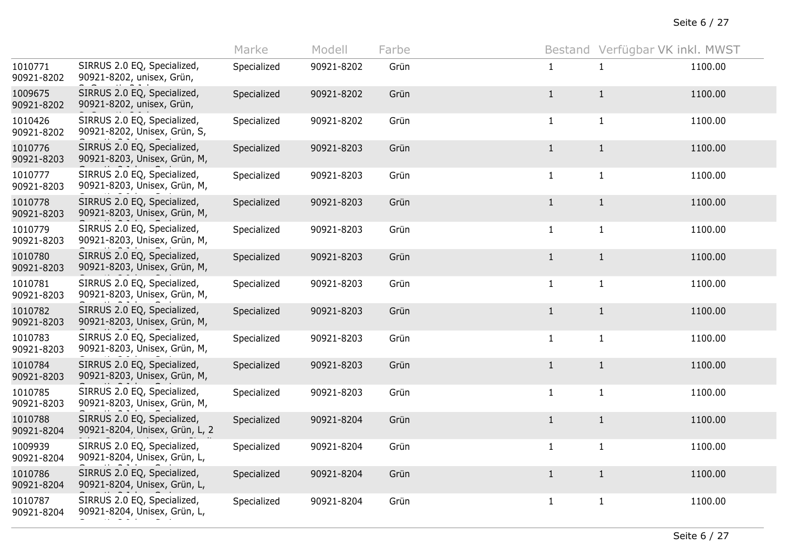|                       |                                                               | Marke       | Modell     | Farbe |              | Bestand Verfügbar VK inkl. MWST |         |
|-----------------------|---------------------------------------------------------------|-------------|------------|-------|--------------|---------------------------------|---------|
| 1010771<br>90921-8202 | SIRRUS 2.0 EQ, Specialized,<br>90921-8202, unisex, Grün,      | Specialized | 90921-8202 | Grün  | $\mathbf{1}$ | $\mathbf{1}$                    | 1100.00 |
| 1009675<br>90921-8202 | SIRRUS 2.0 EQ, Specialized,<br>90921-8202, unisex, Grün,      | Specialized | 90921-8202 | Grün  | $\mathbf{1}$ | $\mathbf{1}$                    | 1100.00 |
| 1010426<br>90921-8202 | SIRRUS 2.0 EQ, Specialized,<br>90921-8202, Unisex, Grün, S,   | Specialized | 90921-8202 | Grün  | $\mathbf{1}$ | $\mathbf{1}$                    | 1100.00 |
| 1010776<br>90921-8203 | SIRRUS 2.0 EQ, Specialized,<br>90921-8203, Unisex, Grün, M,   | Specialized | 90921-8203 | Grün  | $\mathbf{1}$ | $\mathbf{1}$                    | 1100.00 |
| 1010777<br>90921-8203 | SIRRUS 2.0 EQ, Specialized,<br>90921-8203, Unisex, Grün, M,   | Specialized | 90921-8203 | Grün  | $\mathbf{1}$ | $\mathbf{1}$                    | 1100.00 |
| 1010778<br>90921-8203 | SIRRUS 2.0 EQ, Specialized,<br>90921-8203, Unisex, Grün, M,   | Specialized | 90921-8203 | Grün  | $\mathbf{1}$ | $\mathbf{1}$                    | 1100.00 |
| 1010779<br>90921-8203 | SIRRUS 2.0 EQ, Specialized,<br>90921-8203, Unisex, Grün, M,   | Specialized | 90921-8203 | Grün  | $\mathbf{1}$ | $\mathbf{1}$                    | 1100.00 |
| 1010780<br>90921-8203 | SIRRUS 2.0 EQ, Specialized,<br>90921-8203, Unisex, Grün, M,   | Specialized | 90921-8203 | Grün  | $\mathbf{1}$ | $\mathbf{1}$                    | 1100.00 |
| 1010781<br>90921-8203 | SIRRUS 2.0 EQ, Specialized,<br>90921-8203, Unisex, Grün, M,   | Specialized | 90921-8203 | Grün  | $\mathbf{1}$ | $\mathbf{1}$                    | 1100.00 |
| 1010782<br>90921-8203 | SIRRUS 2.0 EQ, Specialized,<br>90921-8203, Unisex, Grün, M,   | Specialized | 90921-8203 | Grün  | $\mathbf{1}$ | $\mathbf{1}$                    | 1100.00 |
| 1010783<br>90921-8203 | SIRRUS 2.0 EQ, Specialized,<br>90921-8203, Unisex, Grün, M,   | Specialized | 90921-8203 | Grün  | $\mathbf{1}$ | $\mathbf{1}$                    | 1100.00 |
| 1010784<br>90921-8203 | SIRRUS 2.0 EQ, Specialized,<br>90921-8203, Unisex, Grün, M,   | Specialized | 90921-8203 | Grün  | $\mathbf{1}$ | $\mathbf{1}$                    | 1100.00 |
| 1010785<br>90921-8203 | SIRRUS 2.0 EQ, Specialized,<br>90921-8203, Unisex, Grün, M,   | Specialized | 90921-8203 | Grün  | $\mathbf{1}$ | $\mathbf{1}$                    | 1100.00 |
| 1010788<br>90921-8204 | SIRRUS 2.0 EQ, Specialized,<br>90921-8204, Unisex, Grün, L, 2 | Specialized | 90921-8204 | Grün  | $\mathbf{1}$ | $\mathbf{1}$                    | 1100.00 |
| 1009939<br>90921-8204 | SIRRUS 2.0 EQ, Specialized,<br>90921-8204, Unisex, Grün, L,   | Specialized | 90921-8204 | Grün  | $\mathbf{1}$ | $\mathbf{1}$                    | 1100.00 |
| 1010786<br>90921-8204 | SIRRUS 2.0 EQ, Specialized,<br>90921-8204, Unisex, Grün, L,   | Specialized | 90921-8204 | Grün  | $\mathbf{1}$ | $\mathbf{1}$                    | 1100.00 |
| 1010787<br>90921-8204 | SIRRUS 2.0 EQ, Specialized,<br>90921-8204, Unisex, Grün, L,   | Specialized | 90921-8204 | Grün  | $\mathbf{1}$ | $\mathbf{1}$                    | 1100.00 |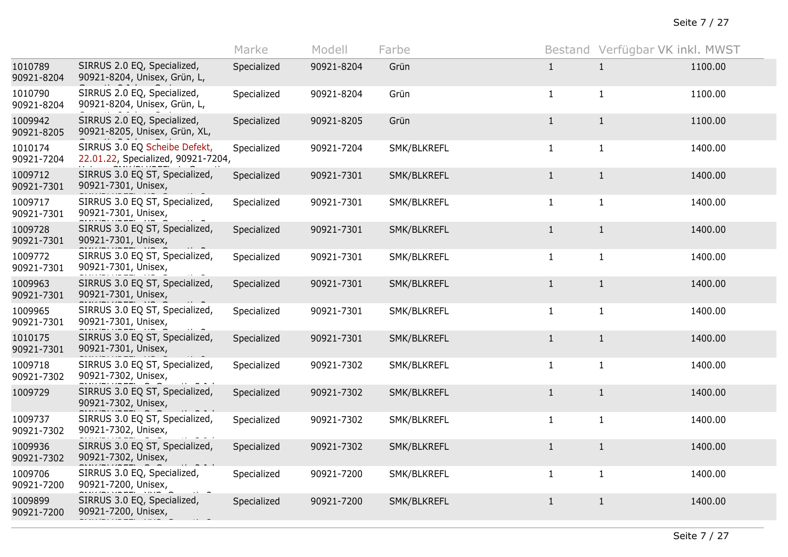|                       |                                                                     | Marke       | Modell     | Farbe       |              | Bestand Verfügbar VK inkl. MWST |         |
|-----------------------|---------------------------------------------------------------------|-------------|------------|-------------|--------------|---------------------------------|---------|
| 1010789<br>90921-8204 | SIRRUS 2.0 EQ, Specialized,<br>90921-8204, Unisex, Grün, L,         | Specialized | 90921-8204 | Grün        | $\mathbf{1}$ | $\mathbf{1}$                    | 1100.00 |
| 1010790<br>90921-8204 | SIRRUS 2.0 EQ, Specialized,<br>90921-8204, Unisex, Grün, L,         | Specialized | 90921-8204 | Grün        | $\mathbf{1}$ | $\mathbf{1}$                    | 1100.00 |
| 1009942<br>90921-8205 | SIRRUS 2.0 EQ, Specialized,<br>90921-8205, Unisex, Grün, XL,        | Specialized | 90921-8205 | Grün        | $\mathbf{1}$ | $\mathbf{1}$                    | 1100.00 |
| 1010174<br>90921-7204 | SIRRUS 3.0 EQ Scheibe Defekt,<br>22.01.22, Specialized, 90921-7204, | Specialized | 90921-7204 | SMK/BLKREFL | $\mathbf{1}$ | $\mathbf{1}$                    | 1400.00 |
| 1009712<br>90921-7301 | SIRRUS 3.0 EQ ST, Specialized,<br>90921-7301, Unisex,               | Specialized | 90921-7301 | SMK/BLKREFL | $\mathbf{1}$ | $\mathbf{1}$                    | 1400.00 |
| 1009717<br>90921-7301 | SIRRUS 3.0 EQ ST, Specialized,<br>90921-7301, Unisex,               | Specialized | 90921-7301 | SMK/BLKREFL | $\mathbf{1}$ | $\mathbf{1}$                    | 1400.00 |
| 1009728<br>90921-7301 | SIRRUS 3.0 EQ ST, Specialized,<br>90921-7301, Unisex,               | Specialized | 90921-7301 | SMK/BLKREFL | $\mathbf{1}$ | $\mathbf{1}$                    | 1400.00 |
| 1009772<br>90921-7301 | SIRRUS 3.0 EQ ST, Specialized,<br>90921-7301, Unisex,               | Specialized | 90921-7301 | SMK/BLKREFL | $\mathbf{1}$ | $\mathbf{1}$                    | 1400.00 |
| 1009963<br>90921-7301 | SIRRUS 3.0 EQ ST, Specialized,<br>90921-7301, Unisex,               | Specialized | 90921-7301 | SMK/BLKREFL | $\mathbf{1}$ | $\mathbf{1}$                    | 1400.00 |
| 1009965<br>90921-7301 | SIRRUS 3.0 EQ ST, Specialized,<br>90921-7301, Unisex,               | Specialized | 90921-7301 | SMK/BLKREFL | $\mathbf{1}$ | $\mathbf{1}$                    | 1400.00 |
| 1010175<br>90921-7301 | SIRRUS 3.0 EQ ST, Specialized,<br>90921-7301, Unisex,               | Specialized | 90921-7301 | SMK/BLKREFL | $\mathbf{1}$ | $\mathbf{1}$                    | 1400.00 |
| 1009718<br>90921-7302 | SIRRUS 3.0 EQ ST, Specialized,<br>90921-7302, Unisex,               | Specialized | 90921-7302 | SMK/BLKREFL | $\mathbf{1}$ | $\mathbf{1}$                    | 1400.00 |
| 1009729               | SIRRUS 3.0 EQ ST, Specialized,<br>90921-7302, Unisex,               | Specialized | 90921-7302 | SMK/BLKREFL | $\mathbf{1}$ | $\mathbf{1}$                    | 1400.00 |
| 1009737<br>90921-7302 | SIRRUS 3.0 EQ ST, Specialized,<br>90921-7302, Unisex,               | Specialized | 90921-7302 | SMK/BLKREFL | $\mathbf{1}$ | $\mathbf{1}$                    | 1400.00 |
| 1009936<br>90921-7302 | SIRRUS 3.0 EQ ST, Specialized,<br>90921-7302, Unisex,               | Specialized | 90921-7302 | SMK/BLKREFL | $\mathbf{1}$ | $\mathbf{1}$                    | 1400.00 |
| 1009706<br>90921-7200 | SIRRUS 3.0 EQ, Specialized,<br>90921-7200, Unisex,                  | Specialized | 90921-7200 | SMK/BLKREFL | $\mathbf{1}$ | $\mathbf{1}$                    | 1400.00 |
| 1009899<br>90921-7200 | SIRRUS 3.0 EQ, Specialized,<br>90921-7200, Unisex,                  | Specialized | 90921-7200 | SMK/BLKREFL | $\mathbf{1}$ | $\mathbf{1}$                    | 1400.00 |
|                       |                                                                     |             |            |             |              |                                 |         |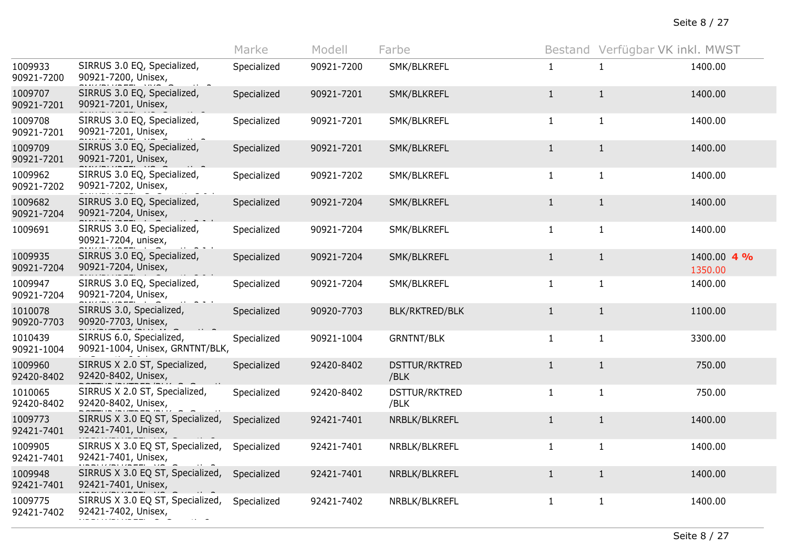|                       |                                                             | Marke       | Modell     | Farbe                        | Bestand      | Verfügbar VK inkl. MWST |                        |
|-----------------------|-------------------------------------------------------------|-------------|------------|------------------------------|--------------|-------------------------|------------------------|
| 1009933<br>90921-7200 | SIRRUS 3.0 EQ, Specialized,<br>90921-7200, Unisex,          | Specialized | 90921-7200 | SMK/BLKREFL                  | $\mathbf{1}$ | 1                       | 1400.00                |
| 1009707<br>90921-7201 | SIRRUS 3.0 EQ, Specialized,<br>90921-7201, Unisex,          | Specialized | 90921-7201 | SMK/BLKREFL                  | $\mathbf{1}$ | $\mathbf{1}$            | 1400.00                |
| 1009708<br>90921-7201 | SIRRUS 3.0 EQ, Specialized,<br>90921-7201, Unisex,          | Specialized | 90921-7201 | SMK/BLKREFL                  | $\mathbf{1}$ | $\mathbf{1}$            | 1400.00                |
| 1009709<br>90921-7201 | SIRRUS 3.0 EQ, Specialized,<br>90921-7201, Unisex,          | Specialized | 90921-7201 | SMK/BLKREFL                  | $\mathbf{1}$ | $\mathbf{1}$            | 1400.00                |
| 1009962<br>90921-7202 | SIRRUS 3.0 EQ, Specialized,<br>90921-7202, Unisex,          | Specialized | 90921-7202 | SMK/BLKREFL                  | $\mathbf{1}$ | $\mathbf{1}$            | 1400.00                |
| 1009682<br>90921-7204 | SIRRUS 3.0 EQ, Specialized,<br>90921-7204, Unisex,          | Specialized | 90921-7204 | SMK/BLKREFL                  | $\mathbf{1}$ | $\mathbf{1}$            | 1400.00                |
| 1009691               | SIRRUS 3.0 EQ, Specialized,<br>90921-7204, unisex,          | Specialized | 90921-7204 | SMK/BLKREFL                  | $\mathbf{1}$ | $\mathbf{1}$            | 1400.00                |
| 1009935<br>90921-7204 | SIRRUS 3.0 EQ, Specialized,<br>90921-7204, Unisex,          | Specialized | 90921-7204 | SMK/BLKREFL                  | $\mathbf{1}$ | $\mathbf{1}$            | 1400.00 4 %<br>1350.00 |
| 1009947<br>90921-7204 | SIRRUS 3.0 EQ, Specialized,<br>90921-7204, Unisex,          | Specialized | 90921-7204 | SMK/BLKREFL                  | $\mathbf{1}$ | $\mathbf{1}$            | 1400.00                |
| 1010078<br>90920-7703 | SIRRUS 3.0, Specialized,<br>90920-7703, Unisex,             | Specialized | 90920-7703 | BLK/RKTRED/BLK               | $\mathbf{1}$ | $\mathbf{1}$            | 1100.00                |
| 1010439<br>90921-1004 | SIRRUS 6.0, Specialized,<br>90921-1004, Unisex, GRNTNT/BLK, | Specialized | 90921-1004 | <b>GRNTNT/BLK</b>            | $\mathbf{1}$ | $\mathbf{1}$            | 3300.00                |
| 1009960<br>92420-8402 | SIRRUS X 2.0 ST, Specialized,<br>92420-8402, Unisex,        | Specialized | 92420-8402 | <b>DSTTUR/RKTRED</b><br>/BLK | $\mathbf{1}$ | $\mathbf{1}$            | 750.00                 |
| 1010065<br>92420-8402 | SIRRUS X 2.0 ST, Specialized,<br>92420-8402, Unisex,        | Specialized | 92420-8402 | DSTTUR/RKTRED<br>/BLK        | $\mathbf{1}$ | $\mathbf{1}$            | 750.00                 |
| 1009773<br>92421-7401 | SIRRUS X 3.0 EQ ST, Specialized,<br>92421-7401, Unisex,     | Specialized | 92421-7401 | NRBLK/BLKREFL                | $\mathbf{1}$ | $\mathbf{1}$            | 1400.00                |
| 1009905<br>92421-7401 | SIRRUS X 3.0 EQ ST, Specialized,<br>92421-7401, Unisex,     | Specialized | 92421-7401 | NRBLK/BLKREFL                | $\mathbf{1}$ | $\mathbf{1}$            | 1400.00                |
| 1009948<br>92421-7401 | SIRRUS X 3.0 EQ ST, Specialized,<br>92421-7401, Unisex,     | Specialized | 92421-7401 | NRBLK/BLKREFL                | $\mathbf{1}$ | $\mathbf{1}$            | 1400.00                |
| 1009775<br>92421-7402 | SIRRUS X 3.0 EQ ST, Specialized,<br>92421-7402, Unisex,     | Specialized | 92421-7402 | NRBLK/BLKREFL                | $\mathbf{1}$ | $\mathbf{1}$            | 1400.00                |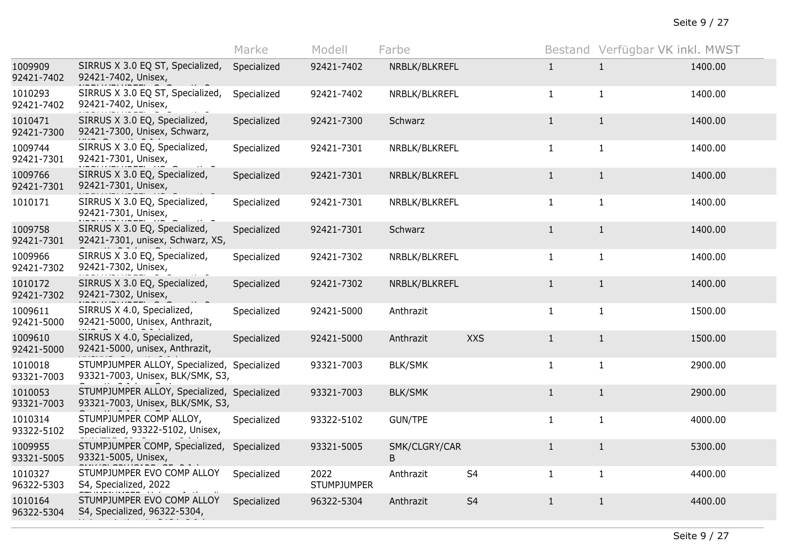|                       |                                                                                 | Marke       | Modell                     | Farbe              |                |              | Bestand Verfügbar VK inkl. MWST |         |
|-----------------------|---------------------------------------------------------------------------------|-------------|----------------------------|--------------------|----------------|--------------|---------------------------------|---------|
| 1009909<br>92421-7402 | SIRRUS X 3.0 EQ ST, Specialized,<br>92421-7402, Unisex,                         | Specialized | 92421-7402                 | NRBLK/BLKREFL      |                | $\mathbf{1}$ | $\mathbf{1}$                    | 1400.00 |
| 1010293<br>92421-7402 | SIRRUS X 3.0 EQ ST, Specialized,<br>92421-7402, Unisex,                         | Specialized | 92421-7402                 | NRBLK/BLKREFL      |                | $\mathbf{1}$ | $\mathbf{1}$                    | 1400.00 |
| 1010471<br>92421-7300 | SIRRUS X 3.0 EQ, Specialized,<br>92421-7300, Unisex, Schwarz,                   | Specialized | 92421-7300                 | Schwarz            |                | $\mathbf{1}$ | $\mathbf{1}$                    | 1400.00 |
| 1009744<br>92421-7301 | SIRRUS X 3.0 EQ, Specialized,<br>92421-7301, Unisex,                            | Specialized | 92421-7301                 | NRBLK/BLKREFL      |                | $\mathbf{1}$ | $\mathbf{1}$                    | 1400.00 |
| 1009766<br>92421-7301 | SIRRUS X 3.0 EQ, Specialized,<br>92421-7301, Unisex,                            | Specialized | 92421-7301                 | NRBLK/BLKREFL      |                | $\mathbf{1}$ | $\mathbf{1}$                    | 1400.00 |
| 1010171               | SIRRUS X 3.0 EQ, Specialized,<br>92421-7301, Unisex,                            | Specialized | 92421-7301                 | NRBLK/BLKREFL      |                | $\mathbf{1}$ | $\mathbf{1}$                    | 1400.00 |
| 1009758<br>92421-7301 | SIRRUS X 3.0 EQ, Specialized,<br>92421-7301, unisex, Schwarz, XS,               | Specialized | 92421-7301                 | Schwarz            |                | $\mathbf{1}$ | $\mathbf{1}$                    | 1400.00 |
| 1009966<br>92421-7302 | SIRRUS X 3.0 EQ, Specialized,<br>92421-7302, Unisex,                            | Specialized | 92421-7302                 | NRBLK/BLKREFL      |                | $\mathbf{1}$ | $\mathbf{1}$                    | 1400.00 |
| 1010172<br>92421-7302 | SIRRUS X 3.0 EQ, Specialized,<br>92421-7302, Unisex,                            | Specialized | 92421-7302                 | NRBLK/BLKREFL      |                | $\mathbf{1}$ | $\mathbf{1}$                    | 1400.00 |
| 1009611<br>92421-5000 | SIRRUS X 4.0, Specialized,<br>92421-5000, Unisex, Anthrazit,                    | Specialized | 92421-5000                 | Anthrazit          |                | $\mathbf{1}$ | $\mathbf{1}$                    | 1500.00 |
| 1009610<br>92421-5000 | SIRRUS X 4.0, Specialized,<br>92421-5000, unisex, Anthrazit,                    | Specialized | 92421-5000                 | Anthrazit          | <b>XXS</b>     | $\mathbf{1}$ | $\mathbf{1}$                    | 1500.00 |
| 1010018<br>93321-7003 | STUMPJUMPER ALLOY, Specialized,<br>93321-7003, Unisex, BLK/SMK, S3,             | Specialized | 93321-7003                 | <b>BLK/SMK</b>     |                | $\mathbf{1}$ | $\mathbf{1}$                    | 2900.00 |
| 1010053<br>93321-7003 | STUMPJUMPER ALLOY, Specialized, Specialized<br>93321-7003, Unisex, BLK/SMK, S3, |             | 93321-7003                 | <b>BLK/SMK</b>     |                | $\mathbf{1}$ | $\mathbf{1}$                    | 2900.00 |
| 1010314<br>93322-5102 | STUMPJUMPER COMP ALLOY,<br>Specialized, 93322-5102, Unisex,                     | Specialized | 93322-5102                 | <b>GUN/TPE</b>     |                | $\mathbf{1}$ | $\mathbf{1}$                    | 4000.00 |
| 1009955<br>93321-5005 | STUMPJUMPER COMP, Specialized,<br>93321-5005, Unisex,                           | Specialized | 93321-5005                 | SMK/CLGRY/CAR<br>B |                | $\mathbf{1}$ | $\mathbf{1}$                    | 5300.00 |
| 1010327<br>96322-5303 | STUMPJUMPER EVO COMP ALLOY<br>S4, Specialized, 2022                             | Specialized | 2022<br><b>STUMPJUMPER</b> | Anthrazit          | S <sub>4</sub> | $\mathbf{1}$ | $\mathbf{1}$                    | 4400.00 |
| 1010164<br>96322-5304 | STUMPJUMPER EVO COMP ALLOY<br>S4, Specialized, 96322-5304,                      | Specialized | 96322-5304                 | Anthrazit          | S <sub>4</sub> | $\mathbf{1}$ | $\mathbf{1}$                    | 4400.00 |
|                       |                                                                                 |             |                            |                    |                |              |                                 |         |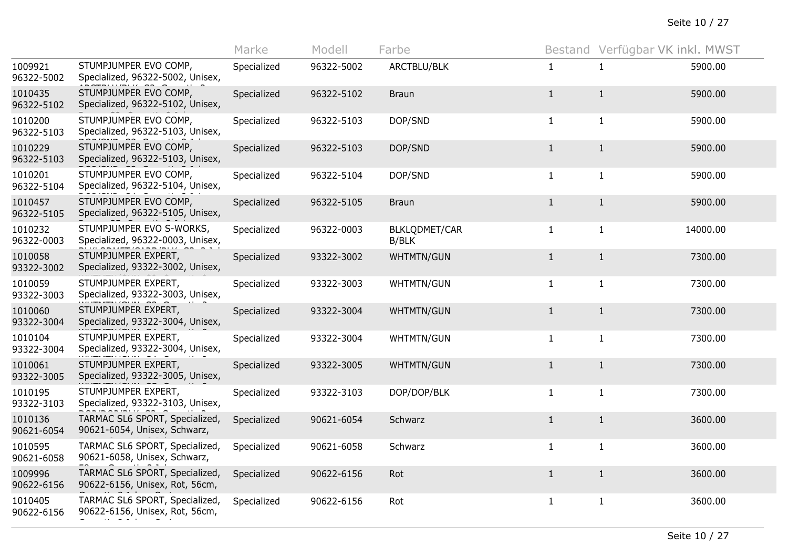|                       |                                                                  | Marke       | Modell     | Farbe                  |              | Bestand Verfügbar VK inkl. MWST |          |
|-----------------------|------------------------------------------------------------------|-------------|------------|------------------------|--------------|---------------------------------|----------|
| 1009921<br>96322-5002 | STUMPJUMPER EVO COMP,<br>Specialized, 96322-5002, Unisex,        | Specialized | 96322-5002 | ARCTBLU/BLK            | $\mathbf{1}$ | -1                              | 5900.00  |
| 1010435<br>96322-5102 | STUMPJUMPER EVO COMP,<br>Specialized, 96322-5102, Unisex,        | Specialized | 96322-5102 | <b>Braun</b>           | $\mathbf{1}$ | $\mathbf{1}$                    | 5900.00  |
| 1010200<br>96322-5103 | STUMPJUMPER EVO COMP,<br>Specialized, 96322-5103, Unisex,        | Specialized | 96322-5103 | DOP/SND                | $\mathbf{1}$ | $\mathbf{1}$                    | 5900.00  |
| 1010229<br>96322-5103 | STUMPJUMPER EVO COMP,<br>Specialized, 96322-5103, Unisex,        | Specialized | 96322-5103 | DOP/SND                | $\mathbf{1}$ | $\mathbf{1}$                    | 5900.00  |
| 1010201<br>96322-5104 | STUMPJUMPER EVO COMP,<br>Specialized, 96322-5104, Unisex,        | Specialized | 96322-5104 | DOP/SND                | $\mathbf{1}$ | $\mathbf{1}$                    | 5900.00  |
| 1010457<br>96322-5105 | STUMPJUMPER EVO COMP,<br>Specialized, 96322-5105, Unisex,        | Specialized | 96322-5105 | <b>Braun</b>           | $\mathbf{1}$ | $\mathbf{1}$                    | 5900.00  |
| 1010232<br>96322-0003 | STUMPJUMPER EVO S-WORKS,<br>Specialized, 96322-0003, Unisex,     | Specialized | 96322-0003 | BLKLQDMET/CAR<br>B/BLK | $\mathbf{1}$ | $\mathbf{1}$                    | 14000.00 |
| 1010058<br>93322-3002 | STUMPJUMPER EXPERT,<br>Specialized, 93322-3002, Unisex,          | Specialized | 93322-3002 | WHTMTN/GUN             | $\mathbf{1}$ | $\mathbf{1}$                    | 7300.00  |
| 1010059<br>93322-3003 | STUMPJUMPER EXPERT,<br>Specialized, 93322-3003, Unisex,          | Specialized | 93322-3003 | WHTMTN/GUN             | $\mathbf{1}$ | 1                               | 7300.00  |
| 1010060<br>93322-3004 | STUMPJUMPER EXPERT,<br>Specialized, 93322-3004, Unisex,          | Specialized | 93322-3004 | WHTMTN/GUN             | $\mathbf{1}$ | $\mathbf{1}$                    | 7300.00  |
| 1010104<br>93322-3004 | STUMPJUMPER EXPERT,<br>Specialized, 93322-3004, Unisex,          | Specialized | 93322-3004 | WHTMTN/GUN             | $\mathbf{1}$ | $\mathbf{1}$                    | 7300.00  |
| 1010061<br>93322-3005 | STUMPJUMPER EXPERT,<br>Specialized, 93322-3005, Unisex,          | Specialized | 93322-3005 | <b>WHTMTN/GUN</b>      | $\mathbf{1}$ | $\mathbf{1}$                    | 7300.00  |
| 1010195<br>93322-3103 | STUMPJUMPER EXPERT,<br>Specialized, 93322-3103, Unisex,          | Specialized | 93322-3103 | DOP/DOP/BLK            | $\mathbf{1}$ | $\mathbf{1}$                    | 7300.00  |
| 1010136<br>90621-6054 | TARMAC SL6 SPORT, Specialized,<br>90621-6054, Unisex, Schwarz,   | Specialized | 90621-6054 | Schwarz                | $1\,$        | $\mathbf{1}$                    | 3600.00  |
| 1010595<br>90621-6058 | TARMAC SL6 SPORT, Specialized,<br>90621-6058, Unisex, Schwarz,   | Specialized | 90621-6058 | Schwarz                | $\mathbf{1}$ | $\mathbf{1}$                    | 3600.00  |
| 1009996<br>90622-6156 | TARMAC SL6 SPORT, Specialized,<br>90622-6156, Unisex, Rot, 56cm, | Specialized | 90622-6156 | Rot                    | $\mathbf{1}$ | $\mathbf{1}$                    | 3600.00  |
| 1010405<br>90622-6156 | TARMAC SL6 SPORT, Specialized,<br>90622-6156, Unisex, Rot, 56cm, | Specialized | 90622-6156 | Rot                    | $\mathbf{1}$ | $\mathbf{1}$                    | 3600.00  |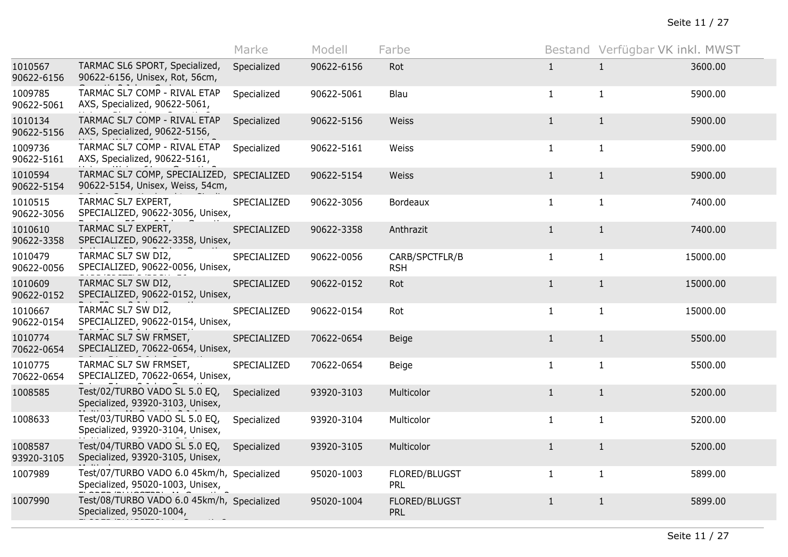|                       |                                                                                | Marke       | Modell     | Farbe                        |              | Bestand Verfügbar VK inkl. MWST |          |
|-----------------------|--------------------------------------------------------------------------------|-------------|------------|------------------------------|--------------|---------------------------------|----------|
| 1010567<br>90622-6156 | TARMAC SL6 SPORT, Specialized,<br>90622-6156, Unisex, Rot, 56cm,               | Specialized | 90622-6156 | Rot                          | $\mathbf{1}$ | $\mathbf{1}$                    | 3600.00  |
| 1009785<br>90622-5061 | TARMAC SL7 COMP - RIVAL ETAP<br>AXS, Specialized, 90622-5061,                  | Specialized | 90622-5061 | Blau                         | $\mathbf{1}$ | $\mathbf{1}$                    | 5900.00  |
| 1010134<br>90622-5156 | TARMAC SL7 COMP - RIVAL ETAP<br>AXS, Specialized, 90622-5156,                  | Specialized | 90622-5156 | Weiss                        | $\mathbf{1}$ | $\mathbf{1}$                    | 5900.00  |
| 1009736<br>90622-5161 | TARMAC SL7 COMP - RIVAL ETAP<br>AXS, Specialized, 90622-5161,                  | Specialized | 90622-5161 | Weiss                        | $\mathbf{1}$ | $\mathbf{1}$                    | 5900.00  |
| 1010594<br>90622-5154 | TARMAC SL7 COMP, SPECIALIZED, SPECIALIZED<br>90622-5154, Unisex, Weiss, 54cm,  |             | 90622-5154 | Weiss                        | $\mathbf{1}$ | $\mathbf{1}$                    | 5900.00  |
| 1010515<br>90622-3056 | TARMAC SL7 EXPERT,<br>SPECIALIZED, 90622-3056, Unisex,                         | SPECIALIZED | 90622-3056 | Bordeaux                     | $\mathbf{1}$ | $\mathbf{1}$                    | 7400.00  |
| 1010610<br>90622-3358 | TARMAC SL7 EXPERT,<br>SPECIALIZED, 90622-3358, Unisex,                         | SPECIALIZED | 90622-3358 | Anthrazit                    | 1            | $\mathbf{1}$                    | 7400.00  |
| 1010479<br>90622-0056 | TARMAC SL7 SW DI2,<br>SPECIALIZED, 90622-0056, Unisex,                         | SPECIALIZED | 90622-0056 | CARB/SPCTFLR/B<br><b>RSH</b> | $\mathbf{1}$ | $\mathbf{1}$                    | 15000.00 |
| 1010609<br>90622-0152 | TARMAC SL7 SW DI2,<br>SPECIALIZED, 90622-0152, Unisex,                         | SPECIALIZED | 90622-0152 | Rot                          | $\mathbf 1$  | $\mathbf{1}$                    | 15000.00 |
| 1010667<br>90622-0154 | TARMAC SL7 SW DI2,<br>SPECIALIZED, 90622-0154, Unisex,                         | SPECIALIZED | 90622-0154 | Rot                          | $\mathbf{1}$ | $\mathbf{1}$                    | 15000.00 |
| 1010774<br>70622-0654 | TARMAC SL7 SW FRMSET,<br>SPECIALIZED, 70622-0654, Unisex,                      | SPECIALIZED | 70622-0654 | <b>Beige</b>                 | $\mathbf{1}$ | $\mathbf{1}$                    | 5500.00  |
| 1010775<br>70622-0654 | TARMAC SL7 SW FRMSET,<br>SPECIALIZED, 70622-0654, Unisex,                      | SPECIALIZED | 70622-0654 | Beige                        | $\mathbf{1}$ | $\mathbf{1}$                    | 5500.00  |
| 1008585               | Test/02/TURBO VADO SL 5.0 EQ,<br>Specialized, 93920-3103, Unisex,              | Specialized | 93920-3103 | Multicolor                   | $\mathbf{1}$ | $\mathbf{1}$                    | 5200.00  |
| 1008633               | Test/03/TURBO VADO SL 5.0 EQ,<br>Specialized, 93920-3104, Unisex,              | Specialized | 93920-3104 | Multicolor                   | $\mathbf{1}$ | $\mathbf{1}$                    | 5200.00  |
| 1008587<br>93920-3105 | Test/04/TURBO VADO SL 5.0 EQ,<br>Specialized, 93920-3105, Unisex,              | Specialized | 93920-3105 | Multicolor                   | $\mathbf{1}$ | $\mathbf{1}$                    | 5200.00  |
| 1007989               | Test/07/TURBO VADO 6.0 45km/h, Specialized<br>Specialized, 95020-1003, Unisex, |             | 95020-1003 | FLORED/BLUGST<br>PRL         | $\mathbf{1}$ | $\mathbf{1}$                    | 5899.00  |
| 1007990               | Test/08/TURBO VADO 6.0 45km/h, Specialized<br>Specialized, 95020-1004,         |             | 95020-1004 | FLORED/BLUGST<br>PRL         | $\mathbf{1}$ | $\mathbf{1}$                    | 5899.00  |
|                       |                                                                                |             |            |                              |              |                                 |          |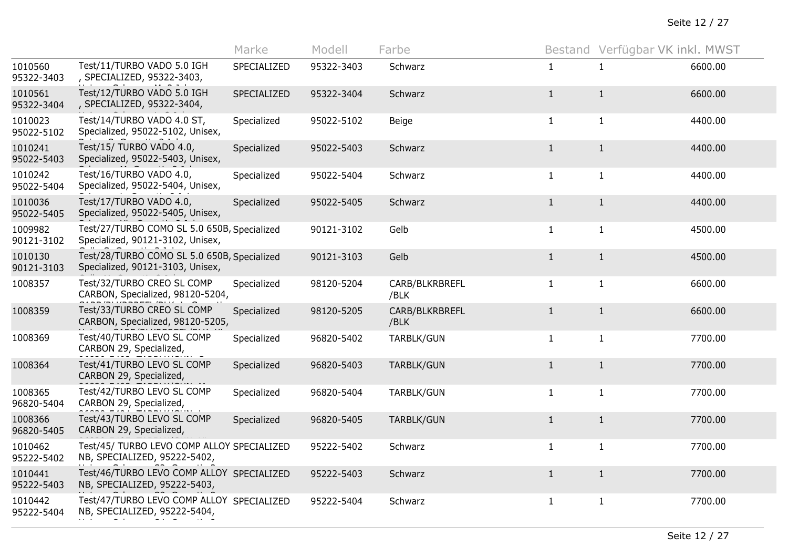|                       |                                                                                 | Marke       | Modell     | Farbe                  |              | Bestand Verfügbar VK inkl. MWST |         |
|-----------------------|---------------------------------------------------------------------------------|-------------|------------|------------------------|--------------|---------------------------------|---------|
| 1010560<br>95322-3403 | Test/11/TURBO VADO 5.0 IGH<br>, SPECIALIZED, 95322-3403,                        | SPECIALIZED | 95322-3403 | Schwarz                | $\mathbf{1}$ | 1                               | 6600.00 |
| 1010561<br>95322-3404 | Test/12/TURBO VADO 5.0 IGH<br>, SPECIALIZED, 95322-3404,                        | SPECIALIZED | 95322-3404 | Schwarz                | $\mathbf{1}$ | $\mathbf{1}$                    | 6600.00 |
| 1010023<br>95022-5102 | Test/14/TURBO VADO 4.0 ST,<br>Specialized, 95022-5102, Unisex,                  | Specialized | 95022-5102 | Beige                  | $\mathbf{1}$ | $\mathbf{1}$                    | 4400.00 |
| 1010241<br>95022-5403 | Test/15/ TURBO VADO 4.0,<br>Specialized, 95022-5403, Unisex,                    | Specialized | 95022-5403 | Schwarz                | $\mathbf{1}$ | $\mathbf{1}$                    | 4400.00 |
| 1010242<br>95022-5404 | Test/16/TURBO VADO 4.0,<br>Specialized, 95022-5404, Unisex,                     | Specialized | 95022-5404 | Schwarz                | $\mathbf{1}$ | $\mathbf{1}$                    | 4400.00 |
| 1010036<br>95022-5405 | Test/17/TURBO VADO 4.0,<br>Specialized, 95022-5405, Unisex,                     | Specialized | 95022-5405 | Schwarz                | $\mathbf{1}$ | $\mathbf{1}$                    | 4400.00 |
| 1009982<br>90121-3102 | Test/27/TURBO COMO SL 5.0 650B, Specialized<br>Specialized, 90121-3102, Unisex, |             | 90121-3102 | Gelb                   | $\mathbf{1}$ | $\mathbf{1}$                    | 4500.00 |
| 1010130<br>90121-3103 | Test/28/TURBO COMO SL 5.0 650B, Specialized<br>Specialized, 90121-3103, Unisex, |             | 90121-3103 | Gelb                   | $\mathbf{1}$ | $\mathbf{1}$                    | 4500.00 |
| 1008357               | Test/32/TURBO CREO SL COMP<br>CARBON, Specialized, 98120-5204,                  | Specialized | 98120-5204 | CARB/BLKRBREFL<br>/BLK | $\mathbf{1}$ | $\mathbf{1}$                    | 6600.00 |
| 1008359               | Test/33/TURBO CREO SL COMP<br>CARBON, Specialized, 98120-5205,                  | Specialized | 98120-5205 | CARB/BLKRBREFL<br>/BLK | $\mathbf{1}$ | $\mathbf{1}$                    | 6600.00 |
| 1008369               | Test/40/TURBO LEVO SL COMP<br>CARBON 29, Specialized,                           | Specialized | 96820-5402 | TARBLK/GUN             | $\mathbf{1}$ | $\mathbf{1}$                    | 7700.00 |
| 1008364               | Test/41/TURBO LEVO SL COMP<br>CARBON 29, Specialized,                           | Specialized | 96820-5403 | TARBLK/GUN             | $\mathbf{1}$ | $\mathbf{1}$                    | 7700.00 |
| 1008365<br>96820-5404 | Test/42/TURBO LEVO SL COMP<br>CARBON 29, Specialized,                           | Specialized | 96820-5404 | TARBLK/GUN             | $\mathbf{1}$ | $\mathbf{1}$                    | 7700.00 |
| 1008366<br>96820-5405 | Test/43/TURBO LEVO SL COMP<br>CARBON 29, Specialized,                           | Specialized | 96820-5405 | TARBLK/GUN             | $\mathbf{1}$ | $\mathbf{1}$                    | 7700.00 |
| 1010462<br>95222-5402 | Test/45/ TURBO LEVO COMP ALLOY SPECIALIZED<br>NB, SPECIALIZED, 95222-5402,      |             | 95222-5402 | Schwarz                | $\mathbf{1}$ | $\mathbf{1}$                    | 7700.00 |
| 1010441<br>95222-5403 | Test/46/TURBO LEVO COMP ALLOY SPECIALIZED<br>NB, SPECIALIZED, 95222-5403,       |             | 95222-5403 | Schwarz                | $\mathbf{1}$ | $\mathbf{1}$                    | 7700.00 |
| 1010442<br>95222-5404 | Test/47/TURBO LEVO COMP ALLOY SPECIALIZED<br>NB, SPECIALIZED, 95222-5404,       |             | 95222-5404 | Schwarz                | $\mathbf{1}$ | $\mathbf{1}$                    | 7700.00 |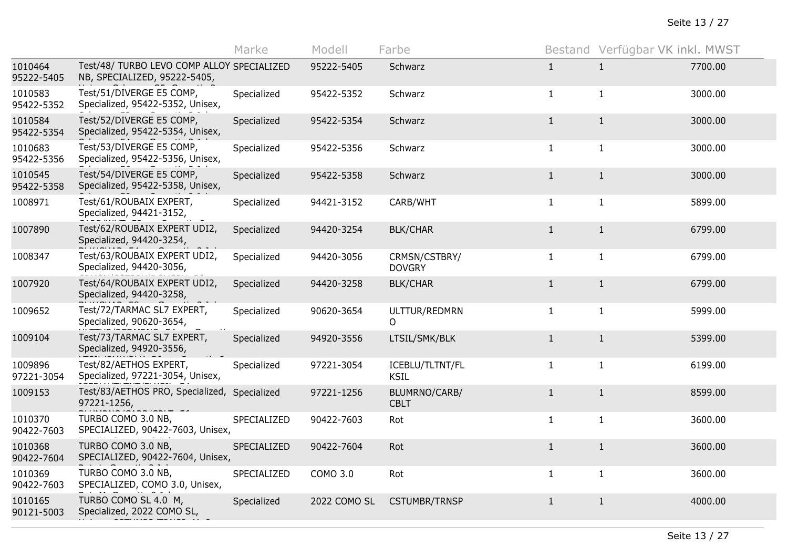|                       |                                                                            | Marke       | Modell       | Farbe                          |              | Bestand Verfügbar VK inkl. MWST |         |
|-----------------------|----------------------------------------------------------------------------|-------------|--------------|--------------------------------|--------------|---------------------------------|---------|
| 1010464<br>95222-5405 | Test/48/ TURBO LEVO COMP ALLOY SPECIALIZED<br>NB, SPECIALIZED, 95222-5405, |             | 95222-5405   | Schwarz                        | $\mathbf{1}$ | $\mathbf{1}$                    | 7700.00 |
| 1010583<br>95422-5352 | Test/51/DIVERGE E5 COMP,<br>Specialized, 95422-5352, Unisex,               | Specialized | 95422-5352   | Schwarz                        | $\mathbf{1}$ | $\mathbf{1}$                    | 3000.00 |
| 1010584<br>95422-5354 | Test/52/DIVERGE E5 COMP,<br>Specialized, 95422-5354, Unisex,               | Specialized | 95422-5354   | Schwarz                        | 1            | $\mathbf{1}$                    | 3000.00 |
| 1010683<br>95422-5356 | Test/53/DIVERGE E5 COMP,<br>Specialized, 95422-5356, Unisex,               | Specialized | 95422-5356   | Schwarz                        | $\mathbf{1}$ | $\mathbf{1}$                    | 3000.00 |
| 1010545<br>95422-5358 | Test/54/DIVERGE E5 COMP,<br>Specialized, 95422-5358, Unisex,               | Specialized | 95422-5358   | Schwarz                        | $\mathbf{1}$ | $\mathbf{1}$                    | 3000.00 |
| 1008971               | Test/61/ROUBAIX EXPERT,<br>Specialized, 94421-3152,                        | Specialized | 94421-3152   | CARB/WHT                       | $\mathbf{1}$ | $\mathbf{1}$                    | 5899.00 |
| 1007890               | Test/62/ROUBAIX EXPERT UDI2,<br>Specialized, 94420-3254,                   | Specialized | 94420-3254   | <b>BLK/CHAR</b>                | $\mathbf{1}$ | $\mathbf{1}$                    | 6799.00 |
| 1008347               | Test/63/ROUBAIX EXPERT UDI2,<br>Specialized, 94420-3056,                   | Specialized | 94420-3056   | CRMSN/CSTBRY/<br><b>DOVGRY</b> | $\mathbf{1}$ | $\mathbf{1}$                    | 6799.00 |
| 1007920               | Test/64/ROUBAIX EXPERT UDI2,<br>Specialized, 94420-3258,                   | Specialized | 94420-3258   | <b>BLK/CHAR</b>                | $\mathbf{1}$ | $\mathbf{1}$                    | 6799.00 |
| 1009652               | Test/72/TARMAC SL7 EXPERT,<br>Specialized, 90620-3654,                     | Specialized | 90620-3654   | ULTTUR/REDMRN<br>$\Omega$      | $\mathbf{1}$ | $\mathbf{1}$                    | 5999.00 |
| 1009104               | Test/73/TARMAC SL7 EXPERT,<br>Specialized, 94920-3556,                     | Specialized | 94920-3556   | LTSIL/SMK/BLK                  | $\mathbf{1}$ | $\mathbf{1}$                    | 5399.00 |
| 1009896<br>97221-3054 | Test/82/AETHOS EXPERT,<br>Specialized, 97221-3054, Unisex,                 | Specialized | 97221-3054   | ICEBLU/TLTNT/FL<br><b>KSIL</b> | $\mathbf{1}$ | $\mathbf{1}$                    | 6199.00 |
| 1009153               | Test/83/AETHOS PRO, Specialized, Specialized<br>97221-1256,                |             | 97221-1256   | BLUMRNO/CARB/<br><b>CBLT</b>   | $\mathbf{1}$ | $\mathbf{1}$                    | 8599.00 |
| 1010370<br>90422-7603 | TURBO COMO 3.0 NB,<br>SPECIALIZED, 90422-7603, Unisex,                     | SPECIALIZED | 90422-7603   | Rot                            | $\mathbf{1}$ | $\mathbf{1}$                    | 3600.00 |
| 1010368<br>90422-7604 | TURBO COMO 3.0 NB,<br>SPECIALIZED, 90422-7604, Unisex,                     | SPECIALIZED | 90422-7604   | Rot                            | $\mathbf{1}$ | $\mathbf{1}$                    | 3600.00 |
| 1010369<br>90422-7603 | TURBO COMO 3.0 NB,<br>SPECIALIZED, COMO 3.0, Unisex,                       | SPECIALIZED | COMO 3.0     | Rot                            | $\mathbf{1}$ | $\mathbf{1}$                    | 3600.00 |
| 1010165<br>90121-5003 | TURBO COMO SL 4.0 M,<br>Specialized, 2022 COMO SL,                         | Specialized | 2022 COMO SL | <b>CSTUMBR/TRNSP</b>           | $\mathbf{1}$ | $\mathbf{1}$                    | 4000.00 |
|                       |                                                                            |             |              |                                |              |                                 |         |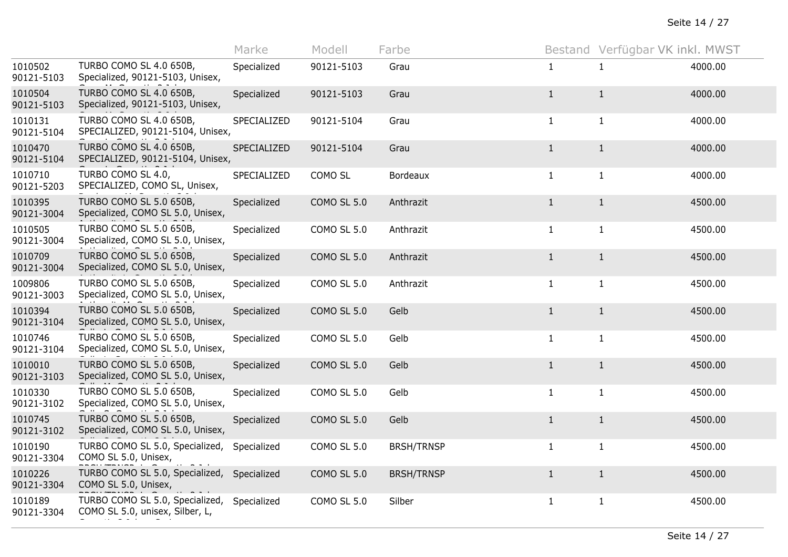|                       |                                                                    | Marke       | Modell             | Farbe             |              | Bestand Verfügbar VK inkl. MWST |         |
|-----------------------|--------------------------------------------------------------------|-------------|--------------------|-------------------|--------------|---------------------------------|---------|
| 1010502<br>90121-5103 | TURBO COMO SL 4.0 650B,<br>Specialized, 90121-5103, Unisex,        | Specialized | 90121-5103         | Grau              | $\mathbf{1}$ | 1                               | 4000.00 |
| 1010504<br>90121-5103 | TURBO COMO SL 4.0 650B,<br>Specialized, 90121-5103, Unisex,        | Specialized | 90121-5103         | Grau              | $\mathbf{1}$ | $\mathbf{1}$                    | 4000.00 |
| 1010131<br>90121-5104 | TURBO COMO SL 4.0 650B,<br>SPECIALIZED, 90121-5104, Unisex,        | SPECIALIZED | 90121-5104         | Grau              | $\mathbf{1}$ | $\mathbf{1}$                    | 4000.00 |
| 1010470<br>90121-5104 | TURBO COMO SL 4.0 650B,<br>SPECIALIZED, 90121-5104, Unisex,        | SPECIALIZED | 90121-5104         | Grau              | $\mathbf{1}$ | $\mathbf{1}$                    | 4000.00 |
| 1010710<br>90121-5203 | TURBO COMO SL 4.0,<br>SPECIALIZED, COMO SL, Unisex,                | SPECIALIZED | COMO SL            | Bordeaux          | $\mathbf{1}$ | $\mathbf{1}$                    | 4000.00 |
| 1010395<br>90121-3004 | TURBO COMO SL 5.0 650B,<br>Specialized, COMO SL 5.0, Unisex,       | Specialized | <b>COMO SL 5.0</b> | Anthrazit         | $\mathbf{1}$ | $\mathbf{1}$                    | 4500.00 |
| 1010505<br>90121-3004 | TURBO COMO SL 5.0 650B,<br>Specialized, COMO SL 5.0, Unisex,       | Specialized | COMO SL 5.0        | Anthrazit         | $\mathbf{1}$ | $\mathbf{1}$                    | 4500.00 |
| 1010709<br>90121-3004 | TURBO COMO SL 5.0 650B,<br>Specialized, COMO SL 5.0, Unisex,       | Specialized | <b>COMO SL 5.0</b> | Anthrazit         | $\mathbf{1}$ | $\mathbf{1}$                    | 4500.00 |
| 1009806<br>90121-3003 | TURBO COMO SL 5.0 650B,<br>Specialized, COMO SL 5.0, Unisex,       | Specialized | COMO SL 5.0        | Anthrazit         | 1            | 1                               | 4500.00 |
| 1010394<br>90121-3104 | TURBO COMO SL 5.0 650B,<br>Specialized, COMO SL 5.0, Unisex,       | Specialized | <b>COMO SL 5.0</b> | Gelb              | $\mathbf{1}$ | $\mathbf{1}$                    | 4500.00 |
| 1010746<br>90121-3104 | TURBO COMO SL 5.0 650B,<br>Specialized, COMO SL 5.0, Unisex,       | Specialized | COMO SL 5.0        | Gelb              | $\mathbf{1}$ | $\mathbf{1}$                    | 4500.00 |
| 1010010<br>90121-3103 | TURBO COMO SL 5.0 650B,<br>Specialized, COMO SL 5.0, Unisex,       | Specialized | <b>COMO SL 5.0</b> | Gelb              | $\mathbf{1}$ | $\mathbf{1}$                    | 4500.00 |
| 1010330<br>90121-3102 | TURBO COMO SL 5.0 650B,<br>Specialized, COMO SL 5.0, Unisex,       | Specialized | COMO SL 5.0        | Gelb              | $\mathbf{1}$ | $\mathbf{1}$                    | 4500.00 |
| 1010745<br>90121-3102 | TURBO COMO SL 5.0 650B,<br>Specialized, COMO SL 5.0, Unisex,       | Specialized | <b>COMO SL 5.0</b> | Gelb              | $1\,$        | $\mathbf{1}$                    | 4500.00 |
| 1010190<br>90121-3304 | TURBO COMO SL 5.0, Specialized,<br>COMO SL 5.0, Unisex,            | Specialized | <b>COMO SL 5.0</b> | <b>BRSH/TRNSP</b> | $\mathbf{1}$ | $\mathbf{1}$                    | 4500.00 |
| 1010226<br>90121-3304 | TURBO COMO SL 5.0, Specialized,<br>COMO SL 5.0, Unisex,            | Specialized | <b>COMO SL 5.0</b> | <b>BRSH/TRNSP</b> | $\mathbf{1}$ | $\mathbf{1}$                    | 4500.00 |
| 1010189<br>90121-3304 | TURBO COMO SL 5.0, Specialized,<br>COMO SL 5.0, unisex, Silber, L, | Specialized | <b>COMO SL 5.0</b> | Silber            | $\mathbf{1}$ | $\mathbf{1}$                    | 4500.00 |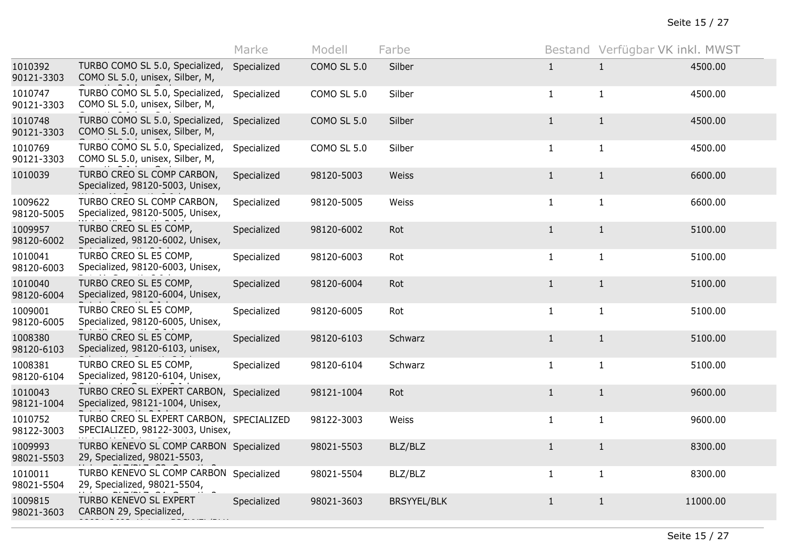|                       |                                                                              | Marke       | Modell             | Farbe              |              | Bestand Verfügbar VK inkl. MWST |          |
|-----------------------|------------------------------------------------------------------------------|-------------|--------------------|--------------------|--------------|---------------------------------|----------|
| 1010392<br>90121-3303 | TURBO COMO SL 5.0, Specialized,<br>COMO SL 5.0, unisex, Silber, M,           | Specialized | <b>COMO SL 5.0</b> | Silber             | $\mathbf{1}$ | $\mathbf{1}$                    | 4500.00  |
| 1010747<br>90121-3303 | TURBO COMO SL 5.0, Specialized,<br>COMO SL 5.0, unisex, Silber, M,           | Specialized | <b>COMO SL 5.0</b> | Silber             | $\mathbf{1}$ | $\mathbf{1}$                    | 4500.00  |
| 1010748<br>90121-3303 | TURBO COMO SL 5.0, Specialized,<br>COMO SL 5.0, unisex, Silber, M,           | Specialized | <b>COMO SL 5.0</b> | Silber             | $\mathbf{1}$ | $\mathbf{1}$                    | 4500.00  |
| 1010769<br>90121-3303 | TURBO COMO SL 5.0, Specialized,<br>COMO SL 5.0, unisex, Silber, M,           | Specialized | COMO SL 5.0        | Silber             | $\mathbf{1}$ | $\mathbf{1}$                    | 4500.00  |
| 1010039               | TURBO CREO SL COMP CARBON,<br>Specialized, 98120-5003, Unisex,               | Specialized | 98120-5003         | Weiss              | $\mathbf{1}$ | $\mathbf{1}$                    | 6600.00  |
| 1009622<br>98120-5005 | TURBO CREO SL COMP CARBON,<br>Specialized, 98120-5005, Unisex,               | Specialized | 98120-5005         | Weiss              | $\mathbf{1}$ | $\mathbf{1}$                    | 6600.00  |
| 1009957<br>98120-6002 | TURBO CREO SL E5 COMP,<br>Specialized, 98120-6002, Unisex,                   | Specialized | 98120-6002         | Rot                | $\mathbf{1}$ | $\mathbf{1}$                    | 5100.00  |
| 1010041<br>98120-6003 | TURBO CREO SL E5 COMP,<br>Specialized, 98120-6003, Unisex,                   | Specialized | 98120-6003         | Rot                | $\mathbf{1}$ | $\mathbf{1}$                    | 5100.00  |
| 1010040<br>98120-6004 | TURBO CREO SL E5 COMP,<br>Specialized, 98120-6004, Unisex,                   | Specialized | 98120-6004         | Rot                | $\mathbf{1}$ | $\mathbf{1}$                    | 5100.00  |
| 1009001<br>98120-6005 | TURBO CREO SL E5 COMP,<br>Specialized, 98120-6005, Unisex,                   | Specialized | 98120-6005         | Rot                | $\mathbf{1}$ | $\mathbf{1}$                    | 5100.00  |
| 1008380<br>98120-6103 | TURBO CREO SL E5 COMP,<br>Specialized, 98120-6103, unisex,                   | Specialized | 98120-6103         | Schwarz            | $\mathbf{1}$ | $\mathbf{1}$                    | 5100.00  |
| 1008381<br>98120-6104 | TURBO CREO SL E5 COMP,<br>Specialized, 98120-6104, Unisex,                   | Specialized | 98120-6104         | Schwarz            | $\mathbf{1}$ | $\mathbf{1}$                    | 5100.00  |
| 1010043<br>98121-1004 | TURBO CREO SL EXPERT CARBON, Specialized<br>Specialized, 98121-1004, Unisex, |             | 98121-1004         | Rot                | $\mathbf{1}$ | $\mathbf{1}$                    | 9600.00  |
| 1010752<br>98122-3003 | TURBO CREO SL EXPERT CARBON, SPECIALIZED<br>SPECIALIZED, 98122-3003, Unisex, |             | 98122-3003         | Weiss              | $\mathbf{1}$ | $\mathbf{1}$                    | 9600.00  |
| 1009993<br>98021-5503 | TURBO KENEVO SL COMP CARBON Specialized<br>29, Specialized, 98021-5503,      |             | 98021-5503         | BLZ/BLZ            | $\mathbf{1}$ | $\mathbf{1}$                    | 8300.00  |
| 1010011<br>98021-5504 | TURBO KENEVO SL COMP CARBON Specialized<br>29, Specialized, 98021-5504,      |             | 98021-5504         | BLZ/BLZ            | $\mathbf{1}$ | $\mathbf{1}$                    | 8300.00  |
| 1009815<br>98021-3603 | TURBO KENEVO SL EXPERT<br>CARBON 29, Specialized,                            | Specialized | 98021-3603         | <b>BRSYYEL/BLK</b> | $\mathbf{1}$ | $\mathbf{1}$                    | 11000.00 |
|                       |                                                                              |             |                    |                    |              |                                 |          |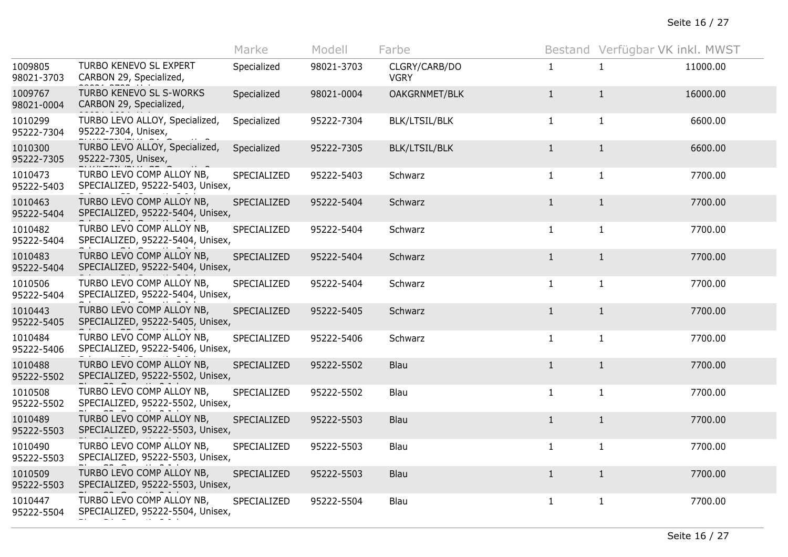|                       |                                                               | Marke       | Modell     | Farbe                        |              | Bestand Verfügbar VK inkl. MWST |          |
|-----------------------|---------------------------------------------------------------|-------------|------------|------------------------------|--------------|---------------------------------|----------|
| 1009805<br>98021-3703 | TURBO KENEVO SL EXPERT<br>CARBON 29, Specialized,             | Specialized | 98021-3703 | CLGRY/CARB/DO<br><b>VGRY</b> | $\mathbf{1}$ | $\mathbf{1}$                    | 11000.00 |
| 1009767<br>98021-0004 | TURBO KENEVO SL S-WORKS<br>CARBON 29, Specialized,            | Specialized | 98021-0004 | OAKGRNMET/BLK                | $\mathbf{1}$ | $\mathbf{1}$                    | 16000.00 |
| 1010299<br>95222-7304 | TURBO LEVO ALLOY, Specialized,<br>95222-7304, Unisex,         | Specialized | 95222-7304 | <b>BLK/LTSIL/BLK</b>         | $\mathbf{1}$ | $\mathbf{1}$                    | 6600.00  |
| 1010300<br>95222-7305 | TURBO LEVO ALLOY, Specialized,<br>95222-7305, Unisex,         | Specialized | 95222-7305 | <b>BLK/LTSIL/BLK</b>         | $\mathbf{1}$ | $\mathbf{1}$                    | 6600.00  |
| 1010473<br>95222-5403 | TURBO LEVO COMP ALLOY NB,<br>SPECIALIZED, 95222-5403, Unisex, | SPECIALIZED | 95222-5403 | Schwarz                      | $\mathbf{1}$ | $\mathbf{1}$                    | 7700.00  |
| 1010463<br>95222-5404 | TURBO LEVO COMP ALLOY NB,<br>SPECIALIZED, 95222-5404, Unisex, | SPECIALIZED | 95222-5404 | Schwarz                      | $\mathbf{1}$ | $\mathbf{1}$                    | 7700.00  |
| 1010482<br>95222-5404 | TURBO LEVO COMP ALLOY NB,<br>SPECIALIZED, 95222-5404, Unisex, | SPECIALIZED | 95222-5404 | Schwarz                      | $\mathbf{1}$ | $\mathbf{1}$                    | 7700.00  |
| 1010483<br>95222-5404 | TURBO LEVO COMP ALLOY NB,<br>SPECIALIZED, 95222-5404, Unisex, | SPECIALIZED | 95222-5404 | Schwarz                      | $\mathbf{1}$ | $\mathbf{1}$                    | 7700.00  |
| 1010506<br>95222-5404 | TURBO LEVO COMP ALLOY NB,<br>SPECIALIZED, 95222-5404, Unisex, | SPECIALIZED | 95222-5404 | Schwarz                      | 1            | 1                               | 7700.00  |
| 1010443<br>95222-5405 | TURBO LEVO COMP ALLOY NB,<br>SPECIALIZED, 95222-5405, Unisex, | SPECIALIZED | 95222-5405 | Schwarz                      | $\mathbf{1}$ | $\mathbf{1}$                    | 7700.00  |
| 1010484<br>95222-5406 | TURBO LEVO COMP ALLOY NB,<br>SPECIALIZED, 95222-5406, Unisex, | SPECIALIZED | 95222-5406 | Schwarz                      | $\mathbf{1}$ | $\mathbf{1}$                    | 7700.00  |
| 1010488<br>95222-5502 | TURBO LEVO COMP ALLOY NB,<br>SPECIALIZED, 95222-5502, Unisex, | SPECIALIZED | 95222-5502 | Blau                         | $\mathbf{1}$ | $\mathbf{1}$                    | 7700.00  |
| 1010508<br>95222-5502 | TURBO LEVO COMP ALLOY NB,<br>SPECIALIZED, 95222-5502, Unisex, | SPECIALIZED | 95222-5502 | Blau                         | $\mathbf{1}$ | $\mathbf{1}$                    | 7700.00  |
| 1010489<br>95222-5503 | TURBO LEVO COMP ALLOY NB,<br>SPECIALIZED, 95222-5503, Unisex, | SPECIALIZED | 95222-5503 | Blau                         | $\mathbf{1}$ | $\mathbf{1}$                    | 7700.00  |
| 1010490<br>95222-5503 | TURBO LEVO COMP ALLOY NB,<br>SPECIALIZED, 95222-5503, Unisex, | SPECIALIZED | 95222-5503 | Blau                         | $\mathbf{1}$ | $\mathbf{1}$                    | 7700.00  |
| 1010509<br>95222-5503 | TURBO LEVO COMP ALLOY NB,<br>SPECIALIZED, 95222-5503, Unisex, | SPECIALIZED | 95222-5503 | Blau                         | $\mathbf{1}$ | $\mathbf{1}$                    | 7700.00  |
| 1010447<br>95222-5504 | TURBO LEVO COMP ALLOY NB,<br>SPECIALIZED, 95222-5504, Unisex, | SPECIALIZED | 95222-5504 | Blau                         | $\mathbf{1}$ | $\mathbf{1}$                    | 7700.00  |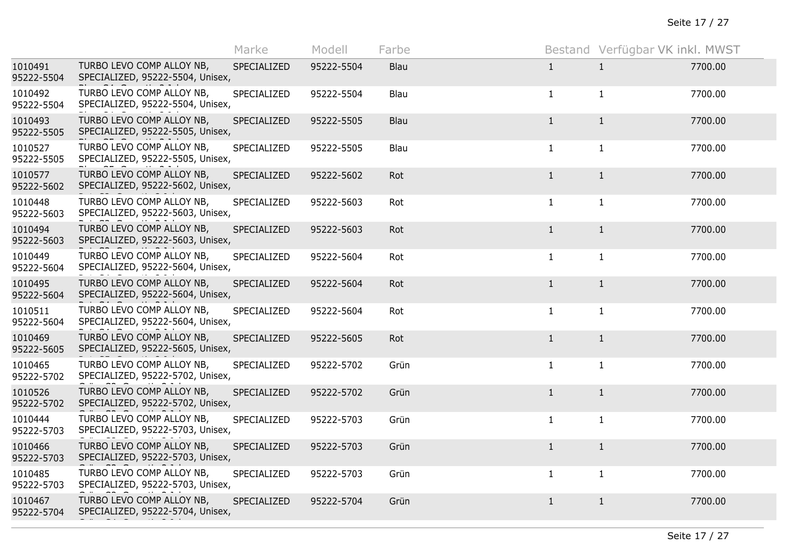|                       |                                                               | Marke       | Modell     | Farbe |              | Bestand Verfügbar VK inkl. MWST |         |
|-----------------------|---------------------------------------------------------------|-------------|------------|-------|--------------|---------------------------------|---------|
| 1010491<br>95222-5504 | TURBO LEVO COMP ALLOY NB,<br>SPECIALIZED, 95222-5504, Unisex, | SPECIALIZED | 95222-5504 | Blau  | $\mathbf{1}$ | $\mathbf{1}$                    | 7700.00 |
| 1010492<br>95222-5504 | TURBO LEVO COMP ALLOY NB,<br>SPECIALIZED, 95222-5504, Unisex, | SPECIALIZED | 95222-5504 | Blau  | $\mathbf{1}$ | $\mathbf{1}$                    | 7700.00 |
| 1010493<br>95222-5505 | TURBO LEVO COMP ALLOY NB,<br>SPECIALIZED, 95222-5505, Unisex, | SPECIALIZED | 95222-5505 | Blau  | $\mathbf{1}$ | $\mathbf{1}$                    | 7700.00 |
| 1010527<br>95222-5505 | TURBO LEVO COMP ALLOY NB,<br>SPECIALIZED, 95222-5505, Unisex, | SPECIALIZED | 95222-5505 | Blau  | $\mathbf{1}$ | $\mathbf{1}$                    | 7700.00 |
| 1010577<br>95222-5602 | TURBO LEVO COMP ALLOY NB,<br>SPECIALIZED, 95222-5602, Unisex, | SPECIALIZED | 95222-5602 | Rot   | $\mathbf{1}$ | $\mathbf{1}$                    | 7700.00 |
| 1010448<br>95222-5603 | TURBO LEVO COMP ALLOY NB,<br>SPECIALIZED, 95222-5603, Unisex, | SPECIALIZED | 95222-5603 | Rot   | 1            | $\mathbf{1}$                    | 7700.00 |
| 1010494<br>95222-5603 | TURBO LEVO COMP ALLOY NB,<br>SPECIALIZED, 95222-5603, Unisex, | SPECIALIZED | 95222-5603 | Rot   | $\mathbf{1}$ | $\mathbf{1}$                    | 7700.00 |
| 1010449<br>95222-5604 | TURBO LEVO COMP ALLOY NB,<br>SPECIALIZED, 95222-5604, Unisex, | SPECIALIZED | 95222-5604 | Rot   | $\mathbf{1}$ | $\mathbf{1}$                    | 7700.00 |
| 1010495<br>95222-5604 | TURBO LEVO COMP ALLOY NB,<br>SPECIALIZED, 95222-5604, Unisex, | SPECIALIZED | 95222-5604 | Rot   | $\mathbf{1}$ | $\mathbf{1}$                    | 7700.00 |
| 1010511<br>95222-5604 | TURBO LEVO COMP ALLOY NB,<br>SPECIALIZED, 95222-5604, Unisex, | SPECIALIZED | 95222-5604 | Rot   | $\mathbf{1}$ | $\mathbf{1}$                    | 7700.00 |
| 1010469<br>95222-5605 | TURBO LEVO COMP ALLOY NB,<br>SPECIALIZED, 95222-5605, Unisex, | SPECIALIZED | 95222-5605 | Rot   | $\mathbf{1}$ | $\mathbf{1}$                    | 7700.00 |
| 1010465<br>95222-5702 | TURBO LEVO COMP ALLOY NB,<br>SPECIALIZED, 95222-5702, Unisex, | SPECIALIZED | 95222-5702 | Grün  | $\mathbf{1}$ | $\mathbf{1}$                    | 7700.00 |
| 1010526<br>95222-5702 | TURBO LEVO COMP ALLOY NB,<br>SPECIALIZED, 95222-5702, Unisex, | SPECIALIZED | 95222-5702 | Grün  | $\mathbf{1}$ | $\mathbf{1}$                    | 7700.00 |
| 1010444<br>95222-5703 | TURBO LEVO COMP ALLOY NB,<br>SPECIALIZED, 95222-5703, Unisex, | SPECIALIZED | 95222-5703 | Grün  | $\mathbf{1}$ | $\mathbf{1}$                    | 7700.00 |
| 1010466<br>95222-5703 | TURBO LEVO COMP ALLOY NB,<br>SPECIALIZED, 95222-5703, Unisex, | SPECIALIZED | 95222-5703 | Grün  | $\mathbf{1}$ | $\mathbf{1}$                    | 7700.00 |
| 1010485<br>95222-5703 | TURBO LEVO COMP ALLOY NB,<br>SPECIALIZED, 95222-5703, Unisex, | SPECIALIZED | 95222-5703 | Grün  | 1            | 1                               | 7700.00 |
| 1010467<br>95222-5704 | TURBO LEVO COMP ALLOY NB,<br>SPECIALIZED, 95222-5704, Unisex, | SPECIALIZED | 95222-5704 | Grün  | $\mathbf{1}$ | $\mathbf{1}$                    | 7700.00 |
|                       |                                                               |             |            |       |              |                                 |         |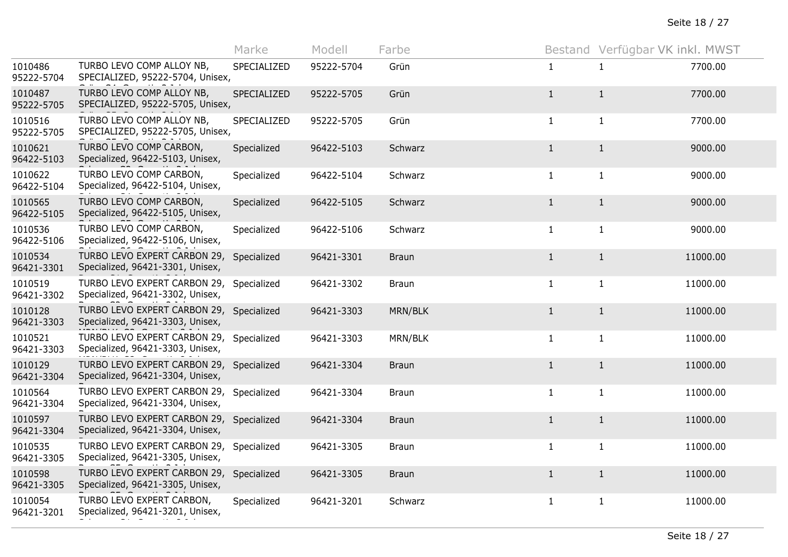|                       |                                                                              | Marke       | Modell     | Farbe        |              | Bestand Verfügbar VK inkl. MWST |          |
|-----------------------|------------------------------------------------------------------------------|-------------|------------|--------------|--------------|---------------------------------|----------|
| 1010486<br>95222-5704 | TURBO LEVO COMP ALLOY NB,<br>SPECIALIZED, 95222-5704, Unisex,                | SPECIALIZED | 95222-5704 | Grün         | $\mathbf{1}$ | 1                               | 7700.00  |
| 1010487<br>95222-5705 | TURBO LEVO COMP ALLOY NB,<br>SPECIALIZED, 95222-5705, Unisex,                | SPECIALIZED | 95222-5705 | Grün         | $\mathbf{1}$ | $\mathbf{1}$                    | 7700.00  |
| 1010516<br>95222-5705 | TURBO LEVO COMP ALLOY NB,<br>SPECIALIZED, 95222-5705, Unisex,                | SPECIALIZED | 95222-5705 | Grün         | $\mathbf{1}$ | $\mathbf{1}$                    | 7700.00  |
| 1010621<br>96422-5103 | TURBO LEVO COMP CARBON,<br>Specialized, 96422-5103, Unisex,                  | Specialized | 96422-5103 | Schwarz      | $\mathbf{1}$ | $\mathbf{1}$                    | 9000.00  |
| 1010622<br>96422-5104 | TURBO LEVO COMP CARBON,<br>Specialized, 96422-5104, Unisex,                  | Specialized | 96422-5104 | Schwarz      | $\mathbf{1}$ | $\mathbf{1}$                    | 9000.00  |
| 1010565<br>96422-5105 | TURBO LEVO COMP CARBON,<br>Specialized, 96422-5105, Unisex,                  | Specialized | 96422-5105 | Schwarz      | $\mathbf{1}$ | $\mathbf{1}$                    | 9000.00  |
| 1010536<br>96422-5106 | TURBO LEVO COMP CARBON,<br>Specialized, 96422-5106, Unisex,                  | Specialized | 96422-5106 | Schwarz      | $\mathbf{1}$ | $\mathbf{1}$                    | 9000.00  |
| 1010534<br>96421-3301 | TURBO LEVO EXPERT CARBON 29,<br>Specialized, 96421-3301, Unisex,             | Specialized | 96421-3301 | <b>Braun</b> | $\mathbf{1}$ | $\mathbf{1}$                    | 11000.00 |
| 1010519<br>96421-3302 | TURBO LEVO EXPERT CARBON 29, Specialized<br>Specialized, 96421-3302, Unisex, |             | 96421-3302 | <b>Braun</b> | 1            | $\mathbf{1}$                    | 11000.00 |
| 1010128<br>96421-3303 | TURBO LEVO EXPERT CARBON 29,<br>Specialized, 96421-3303, Unisex,             | Specialized | 96421-3303 | MRN/BLK      | $\mathbf{1}$ | $\mathbf{1}$                    | 11000.00 |
| 1010521<br>96421-3303 | TURBO LEVO EXPERT CARBON 29, Specialized<br>Specialized, 96421-3303, Unisex, |             | 96421-3303 | MRN/BLK      | $\mathbf{1}$ | $\mathbf{1}$                    | 11000.00 |
| 1010129<br>96421-3304 | TURBO LEVO EXPERT CARBON 29, Specialized<br>Specialized, 96421-3304, Unisex, |             | 96421-3304 | <b>Braun</b> | $\mathbf{1}$ | $\mathbf{1}$                    | 11000.00 |
| 1010564<br>96421-3304 | TURBO LEVO EXPERT CARBON 29, Specialized<br>Specialized, 96421-3304, Unisex, |             | 96421-3304 | <b>Braun</b> | $\mathbf{1}$ | $\mathbf{1}$                    | 11000.00 |
| 1010597<br>96421-3304 | TURBO LEVO EXPERT CARBON 29, Specialized<br>Specialized, 96421-3304, Unisex, |             | 96421-3304 | <b>Braun</b> | $1\,$        | $\mathbf{1}$                    | 11000.00 |
| 1010535<br>96421-3305 | TURBO LEVO EXPERT CARBON 29,<br>Specialized, 96421-3305, Unisex,             | Specialized | 96421-3305 | <b>Braun</b> | $\mathbf{1}$ | $\mathbf{1}$                    | 11000.00 |
| 1010598<br>96421-3305 | TURBO LEVO EXPERT CARBON 29,<br>Specialized, 96421-3305, Unisex,             | Specialized | 96421-3305 | <b>Braun</b> | $\mathbf{1}$ | $\mathbf{1}$                    | 11000.00 |
| 1010054<br>96421-3201 | TURBO LEVO EXPERT CARBON,<br>Specialized, 96421-3201, Unisex,                | Specialized | 96421-3201 | Schwarz      | $\mathbf{1}$ | $\mathbf{1}$                    | 11000.00 |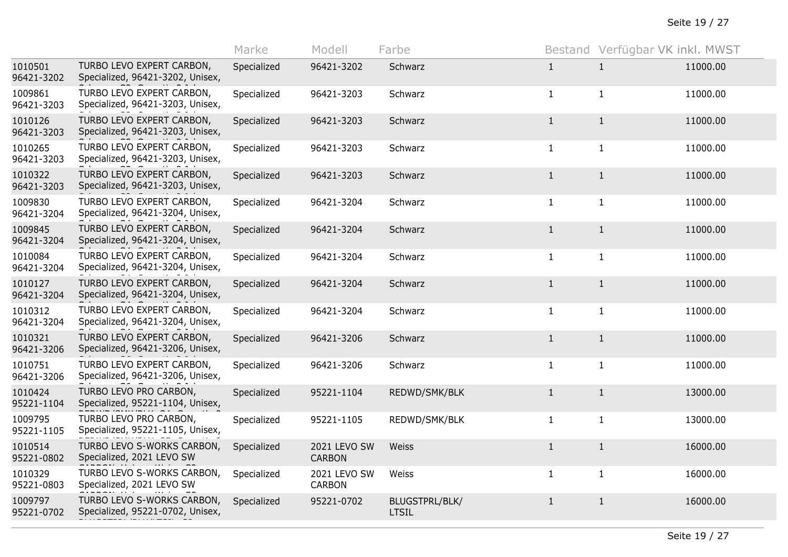|                       |                                                                | Marke       | Modell                        | Farbe                          |              | Bestand Verfügbar VK inkl. MWST |          |
|-----------------------|----------------------------------------------------------------|-------------|-------------------------------|--------------------------------|--------------|---------------------------------|----------|
| 1010501<br>96421-3202 | TURBO LEVO EXPERT CARBON,<br>Specialized, 96421-3202, Unisex,  | Specialized | 96421-3202                    | Schwarz                        | $\mathbf{1}$ | 1                               | 11000.00 |
| 1009861<br>96421-3203 | TURBO LEVO EXPERT CARBON,<br>Specialized, 96421-3203, Unisex,  | Specialized | 96421-3203                    | Schwarz                        | $\mathbf{1}$ | $\mathbf{1}$                    | 11000.00 |
| 1010126<br>96421-3203 | TURBO LEVO EXPERT CARBON,<br>Specialized, 96421-3203, Unisex,  | Specialized | 96421-3203                    | Schwarz                        | $\mathbf{1}$ | $\mathbf{1}$                    | 11000.00 |
| 1010265<br>96421-3203 | TURBO LEVO EXPERT CARBON,<br>Specialized, 96421-3203, Unisex,  | Specialized | 96421-3203                    | Schwarz                        | $\mathbf{1}$ | $\mathbf{1}$                    | 11000.00 |
| 1010322<br>96421-3203 | TURBO LEVO EXPERT CARBON,<br>Specialized, 96421-3203, Unisex,  | Specialized | 96421-3203                    | Schwarz                        | $\mathbf{1}$ | $\mathbf{1}$                    | 11000.00 |
| 1009830<br>96421-3204 | TURBO LEVO EXPERT CARBON,<br>Specialized, 96421-3204, Unisex,  | Specialized | 96421-3204                    | Schwarz                        | $\mathbf{1}$ | $\mathbf{1}$                    | 11000.00 |
| 1009845<br>96421-3204 | TURBO LEVO EXPERT CARBON,<br>Specialized, 96421-3204, Unisex,  | Specialized | 96421-3204                    | Schwarz                        | $\mathbf{1}$ | $\mathbf{1}$                    | 11000.00 |
| 1010084<br>96421-3204 | TURBO LEVO EXPERT CARBON,<br>Specialized, 96421-3204, Unisex,  | Specialized | 96421-3204                    | Schwarz                        | $\mathbf{1}$ | $\mathbf{1}$                    | 11000.00 |
| 1010127<br>96421-3204 | TURBO LEVO EXPERT CARBON,<br>Specialized, 96421-3204, Unisex,  | Specialized | 96421-3204                    | Schwarz                        | $\mathbf{1}$ | $\mathbf{1}$                    | 11000.00 |
| 1010312<br>96421-3204 | TURBO LEVO EXPERT CARBON,<br>Specialized, 96421-3204, Unisex,  | Specialized | 96421-3204                    | Schwarz                        | $\mathbf{1}$ | $\mathbf{1}$                    | 11000.00 |
| 1010321<br>96421-3206 | TURBO LEVO EXPERT CARBON,<br>Specialized, 96421-3206, Unisex,  | Specialized | 96421-3206                    | Schwarz                        | $\mathbf{1}$ | $\mathbf{1}$                    | 11000.00 |
| 1010751<br>96421-3206 | TURBO LEVO EXPERT CARBON,<br>Specialized, 96421-3206, Unisex,  | Specialized | 96421-3206                    | Schwarz                        | $\mathbf{1}$ | $\mathbf{1}$                    | 11000.00 |
| 1010424<br>95221-1104 | TURBO LEVO PRO CARBON,<br>Specialized, 95221-1104, Unisex,     | Specialized | 95221-1104                    | REDWD/SMK/BLK                  | $\mathbf{1}$ | $\mathbf{1}$                    | 13000.00 |
| 1009795<br>95221-1105 | TURBO LEVO PRO CARBON,<br>Specialized, 95221-1105, Unisex,     | Specialized | 95221-1105                    | REDWD/SMK/BLK                  | $\mathbf{1}$ | $\mathbf{1}$                    | 13000.00 |
| 1010514<br>95221-0802 | TURBO LEVO S-WORKS CARBON,<br>Specialized, 2021 LEVO SW        | Specialized | 2021 LEVO SW<br><b>CARBON</b> | Weiss                          | $\mathbf{1}$ | $\mathbf{1}$                    | 16000.00 |
| 1010329<br>95221-0803 | TURBO LEVO S-WORKS CARBON,<br>Specialized, 2021 LEVO SW        | Specialized | 2021 LEVO SW<br>CARBON        | Weiss                          | $\mathbf{1}$ | $\mathbf{1}$                    | 16000.00 |
| 1009797<br>95221-0702 | TURBO LEVO S-WORKS CARBON,<br>Specialized, 95221-0702, Unisex, | Specialized | 95221-0702                    | BLUGSTPRL/BLK/<br><b>LTSIL</b> | $\mathbf{1}$ | $\mathbf{1}$                    | 16000.00 |
|                       |                                                                |             |                               |                                |              |                                 |          |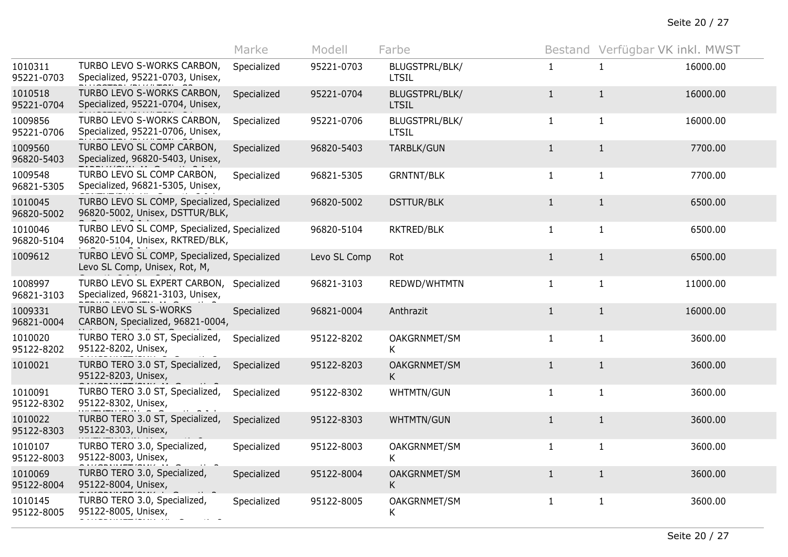Seite 20 / 27

|                       |                                                                                 | Marke       | Modell       | Farbe                          |              | Bestand Verfügbar VK inkl. MWST |          |
|-----------------------|---------------------------------------------------------------------------------|-------------|--------------|--------------------------------|--------------|---------------------------------|----------|
| 1010311<br>95221-0703 | TURBO LEVO S-WORKS CARBON,<br>Specialized, 95221-0703, Unisex,                  | Specialized | 95221-0703   | BLUGSTPRL/BLK/<br><b>LTSIL</b> | $\mathbf{1}$ | $\mathbf{1}$                    | 16000.00 |
| 1010518<br>95221-0704 | TURBO LEVO S-WORKS CARBON,<br>Specialized, 95221-0704, Unisex,                  | Specialized | 95221-0704   | BLUGSTPRL/BLK/<br><b>LTSIL</b> | $\mathbf{1}$ | $\mathbf{1}$                    | 16000.00 |
| 1009856<br>95221-0706 | TURBO LEVO S-WORKS CARBON,<br>Specialized, 95221-0706, Unisex,                  | Specialized | 95221-0706   | BLUGSTPRL/BLK/<br><b>LTSIL</b> | $\mathbf{1}$ | $\mathbf{1}$                    | 16000.00 |
| 1009560<br>96820-5403 | TURBO LEVO SL COMP CARBON,<br>Specialized, 96820-5403, Unisex,                  | Specialized | 96820-5403   | TARBLK/GUN                     | $\mathbf{1}$ | $\mathbf{1}$                    | 7700.00  |
| 1009548<br>96821-5305 | TURBO LEVO SL COMP CARBON,<br>Specialized, 96821-5305, Unisex,                  | Specialized | 96821-5305   | <b>GRNTNT/BLK</b>              | $\mathbf{1}$ | $\mathbf{1}$                    | 7700.00  |
| 1010045<br>96820-5002 | TURBO LEVO SL COMP, Specialized, Specialized<br>96820-5002, Unisex, DSTTUR/BLK, |             | 96820-5002   | <b>DSTTUR/BLK</b>              | $\mathbf{1}$ | $\mathbf{1}$                    | 6500.00  |
| 1010046<br>96820-5104 | TURBO LEVO SL COMP, Specialized, Specialized<br>96820-5104, Unisex, RKTRED/BLK, |             | 96820-5104   | RKTRED/BLK                     | $\mathbf{1}$ | $\mathbf{1}$                    | 6500.00  |
| 1009612               | TURBO LEVO SL COMP, Specialized, Specialized<br>Levo SL Comp, Unisex, Rot, M,   |             | Levo SL Comp | Rot                            | $\mathbf{1}$ | $\mathbf{1}$                    | 6500.00  |
| 1008997<br>96821-3103 | TURBO LEVO SL EXPERT CARBON,<br>Specialized, 96821-3103, Unisex,                | Specialized | 96821-3103   | REDWD/WHTMTN                   | $\mathbf{1}$ | $\mathbf{1}$                    | 11000.00 |
| 1009331<br>96821-0004 | TURBO LEVO SL S-WORKS<br>CARBON, Specialized, 96821-0004,                       | Specialized | 96821-0004   | Anthrazit                      | $\mathbf{1}$ | $\mathbf{1}$                    | 16000.00 |
| 1010020<br>95122-8202 | TURBO TERO 3.0 ST, Specialized,<br>95122-8202, Unisex,                          | Specialized | 95122-8202   | OAKGRNMET/SM<br>K              | $\mathbf{1}$ | $\mathbf{1}$                    | 3600.00  |
| 1010021               | TURBO TERO 3.0 ST, Specialized,<br>95122-8203, Unisex,                          | Specialized | 95122-8203   | OAKGRNMET/SM<br>K              | $\mathbf{1}$ | $\mathbf{1}$                    | 3600.00  |
| 1010091<br>95122-8302 | TURBO TERO 3.0 ST, Specialized,<br>95122-8302, Unisex,                          | Specialized | 95122-8302   | <b>WHTMTN/GUN</b>              | $\mathbf{1}$ | $\mathbf{1}$                    | 3600.00  |
| 1010022<br>95122-8303 | TURBO TERO 3.0 ST, Specialized,<br>95122-8303, Unisex,                          | Specialized | 95122-8303   | WHTMTN/GUN                     | $1\,$        | $1\,$                           | 3600.00  |
| 1010107<br>95122-8003 | TURBO TERO 3.0, Specialized,<br>95122-8003, Unisex,                             | Specialized | 95122-8003   | OAKGRNMET/SM<br>K              | $\mathbf{1}$ | $\mathbf{1}$                    | 3600.00  |
| 1010069<br>95122-8004 | TURBO TERO 3.0, Specialized,<br>95122-8004, Unisex,                             | Specialized | 95122-8004   | OAKGRNMET/SM<br>K              | $\mathbf{1}$ | $\mathbf{1}$                    | 3600.00  |
| 1010145<br>95122-8005 | TURBO TERO 3.0, Specialized,<br>95122-8005, Unisex,                             | Specialized | 95122-8005   | OAKGRNMET/SM<br>K              | $\mathbf{1}$ | $\mathbf{1}$                    | 3600.00  |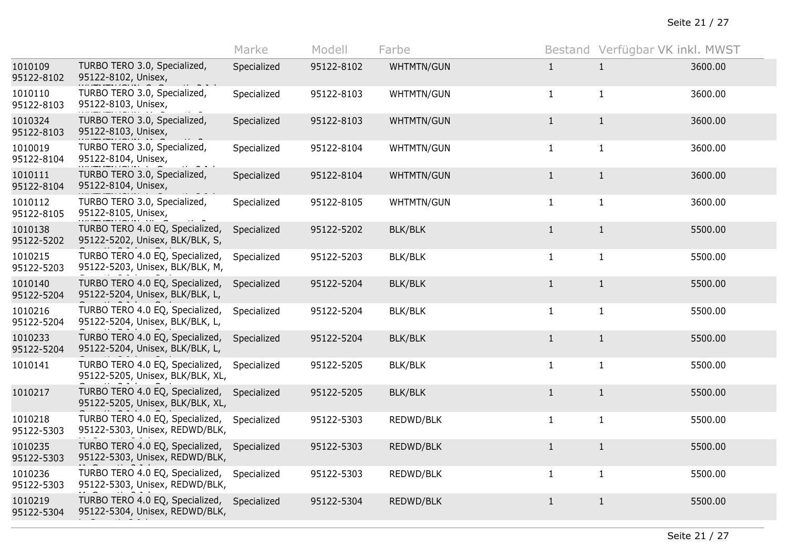|                       |                                                                     | Marke       | Modell     | Farbe          |              | Bestand Verfügbar VK inkl. MWST |         |
|-----------------------|---------------------------------------------------------------------|-------------|------------|----------------|--------------|---------------------------------|---------|
| 1010109<br>95122-8102 | TURBO TERO 3.0, Specialized,<br>95122-8102, Unisex,                 | Specialized | 95122-8102 | WHTMTN/GUN     | $\mathbf{1}$ | $\mathbf{1}$                    | 3600.00 |
| 1010110<br>95122-8103 | TURBO TERO 3.0, Specialized,<br>95122-8103, Unisex,                 | Specialized | 95122-8103 | WHTMTN/GUN     | $\mathbf{1}$ | $\mathbf{1}$                    | 3600.00 |
| 1010324<br>95122-8103 | TURBO TERO 3.0, Specialized,<br>95122-8103, Unisex,                 | Specialized | 95122-8103 | WHTMTN/GUN     | $\mathbf{1}$ | $\mathbf{1}$                    | 3600.00 |
| 1010019<br>95122-8104 | TURBO TERO 3.0, Specialized,<br>95122-8104, Unisex,                 | Specialized | 95122-8104 | WHTMTN/GUN     | $\mathbf{1}$ | $\mathbf{1}$                    | 3600.00 |
| 1010111<br>95122-8104 | TURBO TERO 3.0, Specialized,<br>95122-8104, Unisex,                 | Specialized | 95122-8104 | WHTMTN/GUN     | $\mathbf{1}$ | $\mathbf{1}$                    | 3600.00 |
| 1010112<br>95122-8105 | TURBO TERO 3.0, Specialized,<br>95122-8105, Unisex,                 | Specialized | 95122-8105 | WHTMTN/GUN     | $\mathbf{1}$ | $\mathbf{1}$                    | 3600.00 |
| 1010138<br>95122-5202 | TURBO TERO 4.0 EQ, Specialized,<br>95122-5202, Unisex, BLK/BLK, S,  | Specialized | 95122-5202 | <b>BLK/BLK</b> | $\mathbf{1}$ | $\mathbf{1}$                    | 5500.00 |
| 1010215<br>95122-5203 | TURBO TERO 4.0 EQ, Specialized,<br>95122-5203, Unisex, BLK/BLK, M,  | Specialized | 95122-5203 | BLK/BLK        | $\mathbf{1}$ | $\mathbf{1}$                    | 5500.00 |
| 1010140<br>95122-5204 | TURBO TERO 4.0 EQ, Specialized,<br>95122-5204, Unisex, BLK/BLK, L,  | Specialized | 95122-5204 | <b>BLK/BLK</b> | $\mathbf{1}$ | $\mathbf{1}$                    | 5500.00 |
| 1010216<br>95122-5204 | TURBO TERO 4.0 EQ, Specialized,<br>95122-5204, Unisex, BLK/BLK, L,  | Specialized | 95122-5204 | <b>BLK/BLK</b> | $\mathbf{1}$ | $\mathbf{1}$                    | 5500.00 |
| 1010233<br>95122-5204 | TURBO TERO 4.0 EQ, Specialized,<br>95122-5204, Unisex, BLK/BLK, L,  | Specialized | 95122-5204 | <b>BLK/BLK</b> | $\mathbf{1}$ | $1\,$                           | 5500.00 |
| 1010141               | TURBO TERO 4.0 EQ, Specialized,<br>95122-5205, Unisex, BLK/BLK, XL, | Specialized | 95122-5205 | <b>BLK/BLK</b> | $\mathbf{1}$ | $\mathbf{1}$                    | 5500.00 |
| 1010217               | TURBO TERO 4.0 EQ, Specialized,<br>95122-5205, Unisex, BLK/BLK, XL, | Specialized | 95122-5205 | <b>BLK/BLK</b> | $\mathbf{1}$ | $\mathbf{1}$                    | 5500.00 |
| 1010218<br>95122-5303 | TURBO TERO 4.0 EQ, Specialized,<br>95122-5303, Unisex, REDWD/BLK,   | Specialized | 95122-5303 | REDWD/BLK      | $\mathbf{1}$ | $\mathbf{1}$                    | 5500.00 |
| 1010235<br>95122-5303 | TURBO TERO 4.0 EQ, Specialized,<br>95122-5303, Unisex, REDWD/BLK,   | Specialized | 95122-5303 | REDWD/BLK      | $\mathbf{1}$ | $\mathbf{1}$                    | 5500.00 |
| 1010236<br>95122-5303 | TURBO TERO 4.0 EQ, Specialized,<br>95122-5303, Unisex, REDWD/BLK,   | Specialized | 95122-5303 | REDWD/BLK      | $\mathbf{1}$ | $\mathbf{1}$                    | 5500.00 |
| 1010219<br>95122-5304 | TURBO TERO 4.0 EQ, Specialized,<br>95122-5304, Unisex, REDWD/BLK,   | Specialized | 95122-5304 | REDWD/BLK      | $\mathbf{1}$ | $\mathbf{1}$                    | 5500.00 |
|                       |                                                                     |             |            |                |              |                                 |         |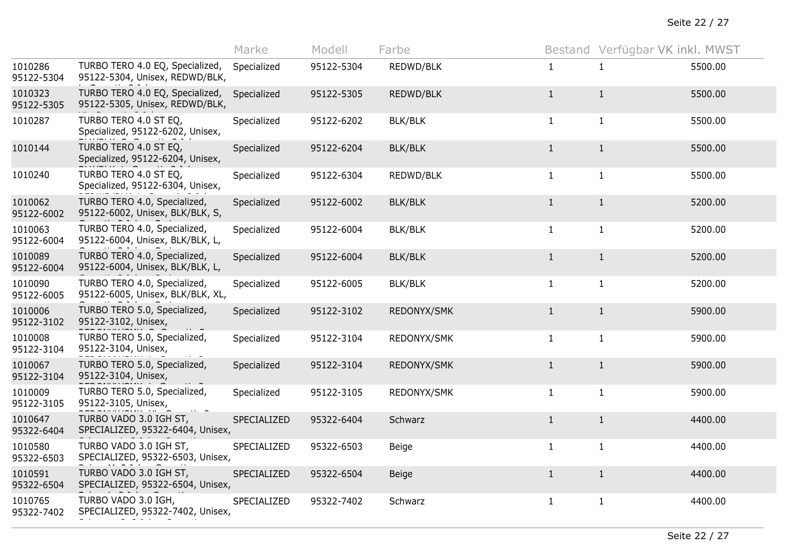|                       |                                                                   | Marke       | Modell     | Farbe          |              | Bestand Verfügbar VK inkl. MWST |         |
|-----------------------|-------------------------------------------------------------------|-------------|------------|----------------|--------------|---------------------------------|---------|
| 1010286<br>95122-5304 | TURBO TERO 4.0 EQ, Specialized,<br>95122-5304, Unisex, REDWD/BLK, | Specialized | 95122-5304 | REDWD/BLK      | 1            | 1                               | 5500.00 |
| 1010323<br>95122-5305 | TURBO TERO 4.0 EQ, Specialized,<br>95122-5305, Unisex, REDWD/BLK, | Specialized | 95122-5305 | REDWD/BLK      | $\mathbf{1}$ | $\mathbf{1}$                    | 5500.00 |
| 1010287               | TURBO TERO 4.0 ST EQ,<br>Specialized, 95122-6202, Unisex,         | Specialized | 95122-6202 | BLK/BLK        | $\mathbf{1}$ | $\mathbf{1}$                    | 5500.00 |
| 1010144               | TURBO TERO 4.0 ST EQ,<br>Specialized, 95122-6204, Unisex,         | Specialized | 95122-6204 | <b>BLK/BLK</b> | $\mathbf{1}$ | $\mathbf{1}$                    | 5500.00 |
| 1010240               | TURBO TERO 4.0 ST EQ,<br>Specialized, 95122-6304, Unisex,         | Specialized | 95122-6304 | REDWD/BLK      | $\mathbf{1}$ | $\mathbf{1}$                    | 5500.00 |
| 1010062<br>95122-6002 | TURBO TERO 4.0, Specialized,<br>95122-6002, Unisex, BLK/BLK, S,   | Specialized | 95122-6002 | <b>BLK/BLK</b> | $\mathbf{1}$ | $\mathbf{1}$                    | 5200.00 |
| 1010063<br>95122-6004 | TURBO TERO 4.0, Specialized,<br>95122-6004, Unisex, BLK/BLK, L,   | Specialized | 95122-6004 | <b>BLK/BLK</b> | $\mathbf{1}$ | $\mathbf{1}$                    | 5200.00 |
| 1010089<br>95122-6004 | TURBO TERO 4.0, Specialized,<br>95122-6004, Unisex, BLK/BLK, L,   | Specialized | 95122-6004 | <b>BLK/BLK</b> | $\mathbf{1}$ | $\mathbf{1}$                    | 5200.00 |
| 1010090<br>95122-6005 | TURBO TERO 4.0, Specialized,<br>95122-6005, Unisex, BLK/BLK, XL,  | Specialized | 95122-6005 | <b>BLK/BLK</b> | $\mathbf{1}$ | $\mathbf{1}$                    | 5200.00 |
| 1010006<br>95122-3102 | TURBO TERO 5.0, Specialized,<br>95122-3102, Unisex,               | Specialized | 95122-3102 | REDONYX/SMK    | $\mathbf{1}$ | $\mathbf{1}$                    | 5900.00 |
| 1010008<br>95122-3104 | TURBO TERO 5.0, Specialized,<br>95122-3104, Unisex,               | Specialized | 95122-3104 | REDONYX/SMK    | $\mathbf{1}$ | $\mathbf{1}$                    | 5900.00 |
| 1010067<br>95122-3104 | TURBO TERO 5.0, Specialized,<br>95122-3104, Unisex,               | Specialized | 95122-3104 | REDONYX/SMK    | $\mathbf{1}$ | $\mathbf{1}$                    | 5900.00 |
| 1010009<br>95122-3105 | TURBO TERO 5.0, Specialized,<br>95122-3105, Unisex,               | Specialized | 95122-3105 | REDONYX/SMK    | $\mathbf{1}$ | $\mathbf{1}$                    | 5900.00 |
| 1010647<br>95322-6404 | TURBO VADO 3.0 IGH ST,<br>SPECIALIZED, 95322-6404, Unisex,        | SPECIALIZED | 95322-6404 | Schwarz        | $1\,$        | $\mathbf{1}$                    | 4400.00 |
| 1010580<br>95322-6503 | TURBO VADO 3.0 IGH ST,<br>SPECIALIZED, 95322-6503, Unisex,        | SPECIALIZED | 95322-6503 | Beige          | $\mathbf{1}$ | $\mathbf{1}$                    | 4400.00 |
| 1010591<br>95322-6504 | TURBO VADO 3.0 IGH ST,<br>SPECIALIZED, 95322-6504, Unisex,        | SPECIALIZED | 95322-6504 | <b>Beige</b>   | $\mathbf{1}$ | $\mathbf{1}$                    | 4400.00 |
| 1010765<br>95322-7402 | TURBO VADO 3.0 IGH,<br>SPECIALIZED, 95322-7402, Unisex,           | SPECIALIZED | 95322-7402 | Schwarz        | $\mathbf{1}$ | $\mathbf{1}$                    | 4400.00 |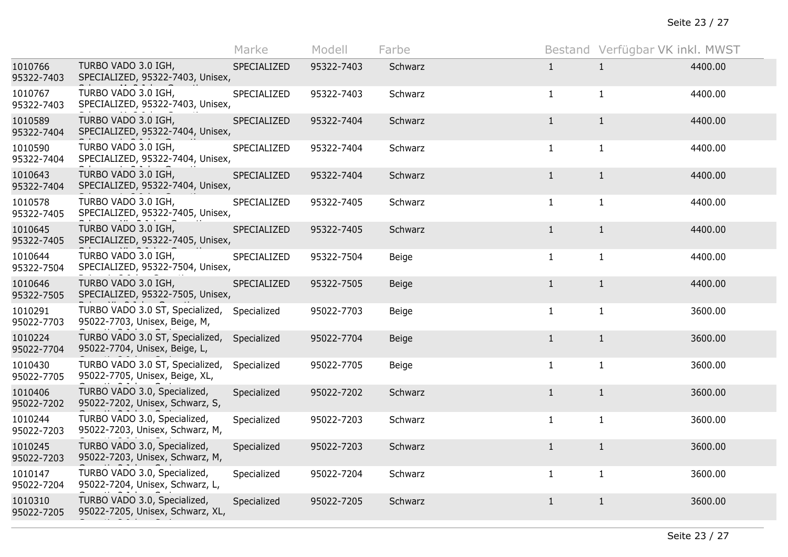|                       |                                                                   | Marke       | Modell     | Farbe        |              | Bestand Verfügbar VK inkl. MWST |         |
|-----------------------|-------------------------------------------------------------------|-------------|------------|--------------|--------------|---------------------------------|---------|
| 1010766<br>95322-7403 | TURBO VADO 3.0 IGH,<br>SPECIALIZED, 95322-7403, Unisex,           | SPECIALIZED | 95322-7403 | Schwarz      | $\mathbf{1}$ | 1                               | 4400.00 |
| 1010767<br>95322-7403 | TURBO VADO 3.0 IGH,<br>SPECIALIZED, 95322-7403, Unisex,           | SPECIALIZED | 95322-7403 | Schwarz      | $\mathbf{1}$ | $\mathbf{1}$                    | 4400.00 |
| 1010589<br>95322-7404 | TURBO VADO 3.0 IGH,<br>SPECIALIZED, 95322-7404, Unisex,           | SPECIALIZED | 95322-7404 | Schwarz      | $\mathbf{1}$ | $\mathbf{1}$                    | 4400.00 |
| 1010590<br>95322-7404 | TURBO VADO 3.0 IGH,<br>SPECIALIZED, 95322-7404, Unisex,           | SPECIALIZED | 95322-7404 | Schwarz      | $\mathbf{1}$ | $\mathbf{1}$                    | 4400.00 |
| 1010643<br>95322-7404 | TURBO VADO 3.0 IGH,<br>SPECIALIZED, 95322-7404, Unisex,           | SPECIALIZED | 95322-7404 | Schwarz      | $\mathbf{1}$ | $\mathbf{1}$                    | 4400.00 |
| 1010578<br>95322-7405 | TURBO VADO 3.0 IGH,<br>SPECIALIZED, 95322-7405, Unisex,           | SPECIALIZED | 95322-7405 | Schwarz      | $\mathbf{1}$ | $\mathbf{1}$                    | 4400.00 |
| 1010645<br>95322-7405 | TURBO VADO 3.0 IGH,<br>SPECIALIZED, 95322-7405, Unisex,           | SPECIALIZED | 95322-7405 | Schwarz      | $\mathbf{1}$ | $\mathbf{1}$                    | 4400.00 |
| 1010644<br>95322-7504 | TURBO VADO 3.0 IGH,<br>SPECIALIZED, 95322-7504, Unisex,           | SPECIALIZED | 95322-7504 | Beige        | $\mathbf{1}$ | $\mathbf{1}$                    | 4400.00 |
| 1010646<br>95322-7505 | TURBO VADO 3.0 IGH,<br>SPECIALIZED, 95322-7505, Unisex,           | SPECIALIZED | 95322-7505 | <b>Beige</b> | $\mathbf{1}$ | $\mathbf{1}$                    | 4400.00 |
| 1010291<br>95022-7703 | TURBO VADO 3.0 ST, Specialized,<br>95022-7703, Unisex, Beige, M,  | Specialized | 95022-7703 | Beige        | $\mathbf{1}$ | $\mathbf{1}$                    | 3600.00 |
| 1010224<br>95022-7704 | TURBO VADO 3.0 ST, Specialized,<br>95022-7704, Unisex, Beige, L,  | Specialized | 95022-7704 | <b>Beige</b> | $\mathbf{1}$ | $\mathbf{1}$                    | 3600.00 |
| 1010430<br>95022-7705 | TURBO VADO 3.0 ST, Specialized,<br>95022-7705, Unisex, Beige, XL, | Specialized | 95022-7705 | Beige        | $\mathbf{1}$ | $\mathbf{1}$                    | 3600.00 |
| 1010406<br>95022-7202 | TURBO VADO 3.0, Specialized,<br>95022-7202, Unisex, Schwarz, S,   | Specialized | 95022-7202 | Schwarz      | $\mathbf{1}$ | $\mathbf{1}$                    | 3600.00 |
| 1010244<br>95022-7203 | TURBO VADO 3.0, Specialized,<br>95022-7203, Unisex, Schwarz, M,   | Specialized | 95022-7203 | Schwarz      | $\mathbf{1}$ | $\mathbf{1}$                    | 3600.00 |
| 1010245<br>95022-7203 | TURBO VADO 3.0, Specialized,<br>95022-7203, Unisex, Schwarz, M,   | Specialized | 95022-7203 | Schwarz      | $\mathbf{1}$ | $\mathbf{1}$                    | 3600.00 |
| 1010147<br>95022-7204 | TURBO VADO 3.0, Specialized,<br>95022-7204, Unisex, Schwarz, L,   | Specialized | 95022-7204 | Schwarz      | $\mathbf{1}$ | $\mathbf{1}$                    | 3600.00 |
| 1010310<br>95022-7205 | TURBO VADO 3.0, Specialized,<br>95022-7205, Unisex, Schwarz, XL,  | Specialized | 95022-7205 | Schwarz      | $\mathbf{1}$ | $\mathbf{1}$                    | 3600.00 |
|                       |                                                                   |             |            |              |              |                                 |         |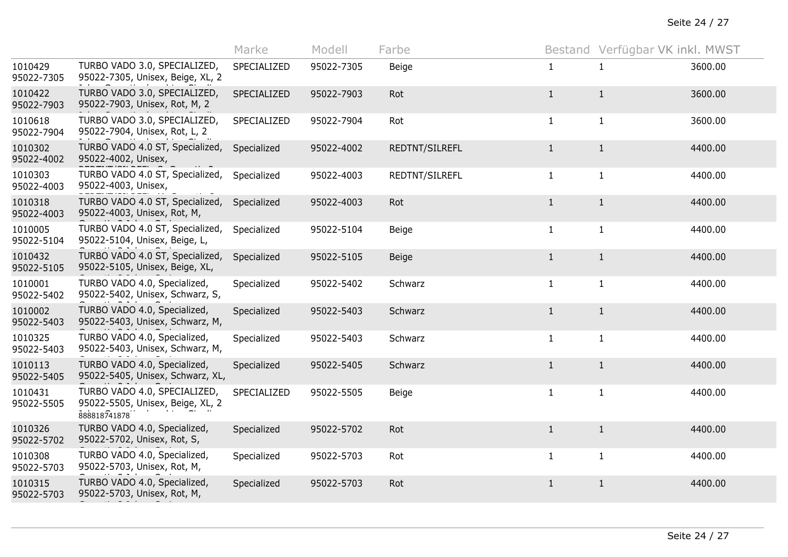|                       |                                                                                  | Marke       | Modell     | Farbe          |              | Bestand Verfügbar VK inkl. MWST |         |
|-----------------------|----------------------------------------------------------------------------------|-------------|------------|----------------|--------------|---------------------------------|---------|
| 1010429<br>95022-7305 | TURBO VADO 3.0, SPECIALIZED,<br>95022-7305, Unisex, Beige, XL, 2                 | SPECIALIZED | 95022-7305 | Beige          | $\mathbf{1}$ | $\mathbf{1}$                    | 3600.00 |
| 1010422<br>95022-7903 | TURBO VADO 3.0, SPECIALIZED,<br>95022-7903, Unisex, Rot, M, 2                    | SPECIALIZED | 95022-7903 | Rot            | $\mathbf{1}$ | $1\,$                           | 3600.00 |
| 1010618<br>95022-7904 | TURBO VADO 3.0, SPECIALIZED,<br>95022-7904, Unisex, Rot, L, 2                    | SPECIALIZED | 95022-7904 | Rot            | $\mathbf{1}$ | $\mathbf{1}$                    | 3600.00 |
| 1010302<br>95022-4002 | TURBO VADO 4.0 ST, Specialized,<br>95022-4002, Unisex,                           | Specialized | 95022-4002 | REDTNT/SILREFL | $\mathbf{1}$ | $\mathbf{1}$                    | 4400.00 |
| 1010303<br>95022-4003 | TURBO VADO 4.0 ST, Specialized,<br>95022-4003, Unisex,                           | Specialized | 95022-4003 | REDTNT/SILREFL | $\mathbf{1}$ | $\mathbf{1}$                    | 4400.00 |
| 1010318<br>95022-4003 | TURBO VADO 4.0 ST, Specialized,<br>95022-4003, Unisex, Rot, M,                   | Specialized | 95022-4003 | Rot            | $\mathbf{1}$ | $\mathbf{1}$                    | 4400.00 |
| 1010005<br>95022-5104 | TURBO VADO 4.0 ST, Specialized,<br>95022-5104, Unisex, Beige, L,                 | Specialized | 95022-5104 | Beige          | $\mathbf{1}$ | $\mathbf{1}$                    | 4400.00 |
| 1010432<br>95022-5105 | TURBO VADO 4.0 ST, Specialized,<br>95022-5105, Unisex, Beige, XL,                | Specialized | 95022-5105 | Beige          | $\mathbf{1}$ | $1\,$                           | 4400.00 |
| 1010001<br>95022-5402 | TURBO VADO 4.0, Specialized,<br>95022-5402, Unisex, Schwarz, S,                  | Specialized | 95022-5402 | Schwarz        | $\mathbf{1}$ | $\mathbf{1}$                    | 4400.00 |
| 1010002<br>95022-5403 | TURBO VADO 4.0, Specialized,<br>95022-5403, Unisex, Schwarz, M,                  | Specialized | 95022-5403 | Schwarz        | $\mathbf{1}$ | $\mathbf{1}$                    | 4400.00 |
| 1010325<br>95022-5403 | TURBO VADO 4.0, Specialized,<br>95022-5403, Unisex, Schwarz, M,                  | Specialized | 95022-5403 | Schwarz        | $\mathbf{1}$ | $\mathbf{1}$                    | 4400.00 |
| 1010113<br>95022-5405 | TURBO VADO 4.0, Specialized,<br>95022-5405, Unisex, Schwarz, XL,                 | Specialized | 95022-5405 | Schwarz        | $\mathbf{1}$ | $\mathbf{1}$                    | 4400.00 |
| 1010431<br>95022-5505 | TURBO VADO 4.0, SPECIALIZED,<br>95022-5505, Unisex, Beige, XL, 2<br>888818741878 | SPECIALIZED | 95022-5505 | Beige          | $\mathbf{1}$ | $\mathbf{1}$                    | 4400.00 |
| 1010326<br>95022-5702 | TURBO VADO 4.0, Specialized,<br>95022-5702, Unisex, Rot, S,                      | Specialized | 95022-5702 | Rot            | $\mathbf{1}$ | $\mathbf{1}$                    | 4400.00 |
| 1010308<br>95022-5703 | TURBO VADO 4.0, Specialized,<br>95022-5703, Unisex, Rot, M,                      | Specialized | 95022-5703 | Rot            | $\mathbf{1}$ | $\mathbf{1}$                    | 4400.00 |
| 1010315<br>95022-5703 | TURBO VADO 4.0, Specialized,<br>95022-5703, Unisex, Rot, M,                      | Specialized | 95022-5703 | Rot            | $\mathbf{1}$ | $\mathbf{1}$                    | 4400.00 |
|                       |                                                                                  |             |            |                |              |                                 |         |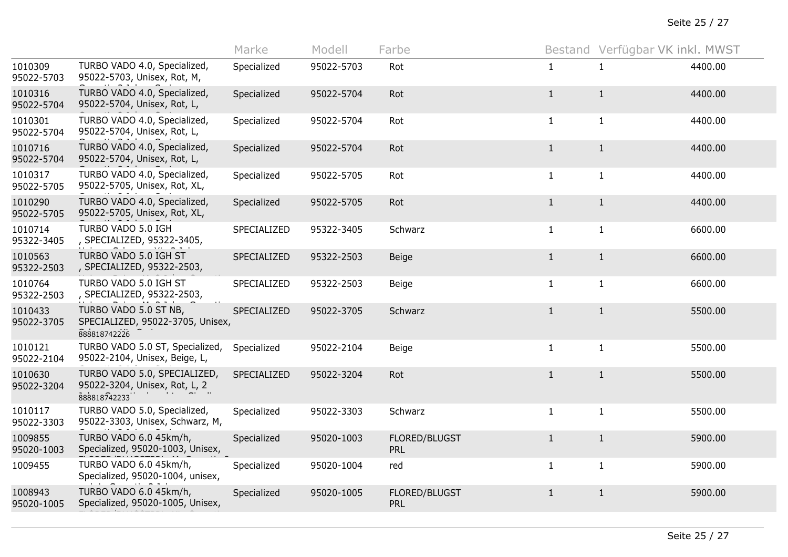|                       |                                                                               | Marke       | Modell     | Farbe                       |              | Bestand Verfügbar VK inkl. MWST |         |
|-----------------------|-------------------------------------------------------------------------------|-------------|------------|-----------------------------|--------------|---------------------------------|---------|
| 1010309<br>95022-5703 | TURBO VADO 4.0, Specialized,<br>95022-5703, Unisex, Rot, M,                   | Specialized | 95022-5703 | Rot                         | $\mathbf{1}$ | $\mathbf{1}$                    | 4400.00 |
| 1010316<br>95022-5704 | TURBO VADO 4.0, Specialized,<br>95022-5704, Unisex, Rot, L,                   | Specialized | 95022-5704 | Rot                         | $\mathbf{1}$ | $\mathbf{1}$                    | 4400.00 |
| 1010301<br>95022-5704 | TURBO VADO 4.0, Specialized,<br>95022-5704, Unisex, Rot, L,                   | Specialized | 95022-5704 | Rot                         | $\mathbf{1}$ | $\mathbf{1}$                    | 4400.00 |
| 1010716<br>95022-5704 | TURBO VADO 4.0, Specialized,<br>95022-5704, Unisex, Rot, L,                   | Specialized | 95022-5704 | Rot                         | $\mathbf{1}$ | $\mathbf{1}$                    | 4400.00 |
| 1010317<br>95022-5705 | TURBO VADO 4.0, Specialized,<br>95022-5705, Unisex, Rot, XL,                  | Specialized | 95022-5705 | Rot                         | $\mathbf{1}$ | $\mathbf{1}$                    | 4400.00 |
| 1010290<br>95022-5705 | TURBO VADO 4.0, Specialized,<br>95022-5705, Unisex, Rot, XL,                  | Specialized | 95022-5705 | Rot                         | $\mathbf{1}$ | $\mathbf{1}$                    | 4400.00 |
| 1010714<br>95322-3405 | TURBO VADO 5.0 IGH<br>, SPECIALIZED, 95322-3405,                              | SPECIALIZED | 95322-3405 | Schwarz                     | $\mathbf{1}$ | $\mathbf{1}$                    | 6600.00 |
| 1010563<br>95322-2503 | TURBO VADO 5.0 IGH ST<br>, SPECIALIZED, 95322-2503,                           | SPECIALIZED | 95322-2503 | <b>Beige</b>                | $\mathbf{1}$ | $\mathbf{1}$                    | 6600.00 |
| 1010764<br>95322-2503 | TURBO VADO 5.0 IGH ST<br>, SPECIALIZED, 95322-2503,                           | SPECIALIZED | 95322-2503 | Beige                       | $\mathbf{1}$ | $\mathbf{1}$                    | 6600.00 |
| 1010433<br>95022-3705 | TURBO VADO 5.0 ST NB,<br>SPECIALIZED, 95022-3705, Unisex,<br>888818742226     | SPECIALIZED | 95022-3705 | Schwarz                     | $\mathbf{1}$ | $\mathbf{1}$                    | 5500.00 |
| 1010121<br>95022-2104 | TURBO VADO 5.0 ST, Specialized,<br>95022-2104, Unisex, Beige, L,              | Specialized | 95022-2104 | Beige                       | $\mathbf{1}$ | $\mathbf{1}$                    | 5500.00 |
| 1010630<br>95022-3204 | TURBO VADO 5.0, SPECIALIZED,<br>95022-3204, Unisex, Rot, L, 2<br>888818742233 | SPECIALIZED | 95022-3204 | Rot                         | $\mathbf{1}$ | $\mathbf{1}$                    | 5500.00 |
| 1010117<br>95022-3303 | TURBO VADO 5.0, Specialized,<br>95022-3303, Unisex, Schwarz, M,               | Specialized | 95022-3303 | Schwarz                     | $\mathbf{1}$ | $\mathbf{1}$                    | 5500.00 |
| 1009855<br>95020-1003 | TURBO VADO 6.0 45km/h,<br>Specialized, 95020-1003, Unisex,                    | Specialized | 95020-1003 | FLORED/BLUGST<br><b>PRL</b> | $\mathbf{1}$ | $\mathbf{1}$                    | 5900.00 |
| 1009455               | TURBO VADO 6.0 45km/h,<br>Specialized, 95020-1004, unisex,                    | Specialized | 95020-1004 | red                         | $\mathbf{1}$ | $\mathbf{1}$                    | 5900.00 |
| 1008943<br>95020-1005 | TURBO VADO 6.0 45km/h,<br>Specialized, 95020-1005, Unisex,                    | Specialized | 95020-1005 | FLORED/BLUGST<br><b>PRL</b> | $\mathbf{1}$ | $\mathbf{1}$                    | 5900.00 |
|                       |                                                                               |             |            |                             |              |                                 |         |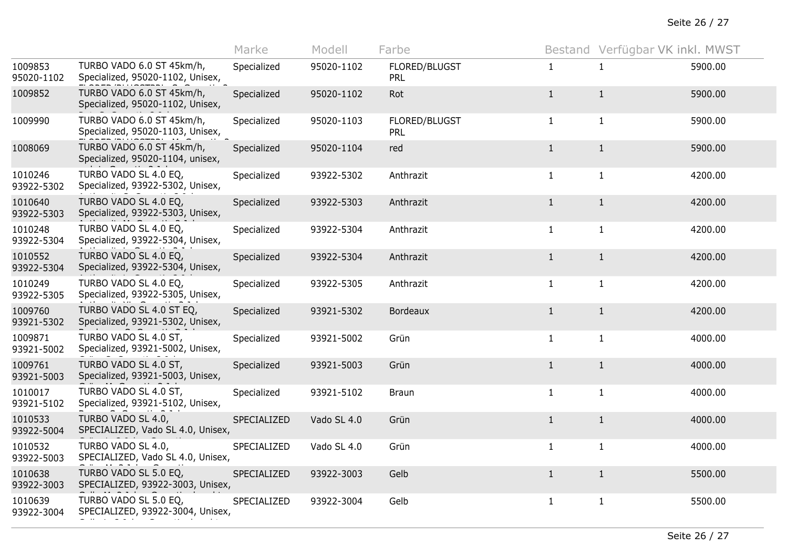Seite 26 / 27

|                       |                                                               | Marke       | Modell      | Farbe                       |              | Bestand Verfügbar VK inkl. MWST |         |
|-----------------------|---------------------------------------------------------------|-------------|-------------|-----------------------------|--------------|---------------------------------|---------|
| 1009853<br>95020-1102 | TURBO VADO 6.0 ST 45km/h,<br>Specialized, 95020-1102, Unisex, | Specialized | 95020-1102  | FLORED/BLUGST<br><b>PRL</b> | $\mathbf{1}$ | $\mathbf{1}$                    | 5900.00 |
| 1009852               | TURBO VADO 6.0 ST 45km/h,<br>Specialized, 95020-1102, Unisex, | Specialized | 95020-1102  | Rot                         | $\mathbf{1}$ | $\mathbf{1}$                    | 5900.00 |
| 1009990               | TURBO VADO 6.0 ST 45km/h,<br>Specialized, 95020-1103, Unisex, | Specialized | 95020-1103  | FLORED/BLUGST<br>PRL        | $\mathbf{1}$ | $\mathbf{1}$                    | 5900.00 |
| 1008069               | TURBO VADO 6.0 ST 45km/h,<br>Specialized, 95020-1104, unisex, | Specialized | 95020-1104  | red                         | $\mathbf{1}$ | $\mathbf{1}$                    | 5900.00 |
| 1010246<br>93922-5302 | TURBO VADO SL 4.0 EQ,<br>Specialized, 93922-5302, Unisex,     | Specialized | 93922-5302  | Anthrazit                   | $\mathbf{1}$ | $\mathbf{1}$                    | 4200.00 |
| 1010640<br>93922-5303 | TURBO VADO SL 4.0 EQ,<br>Specialized, 93922-5303, Unisex,     | Specialized | 93922-5303  | Anthrazit                   | $\mathbf{1}$ | $\mathbf{1}$                    | 4200.00 |
| 1010248<br>93922-5304 | TURBO VADO SL 4.0 EQ,<br>Specialized, 93922-5304, Unisex,     | Specialized | 93922-5304  | Anthrazit                   | $\mathbf{1}$ | $\mathbf{1}$                    | 4200.00 |
| 1010552<br>93922-5304 | TURBO VADO SL 4.0 EQ,<br>Specialized, 93922-5304, Unisex,     | Specialized | 93922-5304  | Anthrazit                   | $\mathbf{1}$ | $\mathbf{1}$                    | 4200.00 |
| 1010249<br>93922-5305 | TURBO VADO SL 4.0 EQ,<br>Specialized, 93922-5305, Unisex,     | Specialized | 93922-5305  | Anthrazit                   | $\mathbf{1}$ | $\mathbf{1}$                    | 4200.00 |
| 1009760<br>93921-5302 | TURBO VADO SL 4.0 ST EQ,<br>Specialized, 93921-5302, Unisex,  | Specialized | 93921-5302  | <b>Bordeaux</b>             | $\mathbf{1}$ | $\mathbf{1}$                    | 4200.00 |
| 1009871<br>93921-5002 | TURBO VADO SL 4.0 ST,<br>Specialized, 93921-5002, Unisex,     | Specialized | 93921-5002  | Grün                        | $\mathbf{1}$ | $\mathbf{1}$                    | 4000.00 |
| 1009761<br>93921-5003 | TURBO VADO SL 4.0 ST,<br>Specialized, 93921-5003, Unisex,     | Specialized | 93921-5003  | Grün                        | $\mathbf{1}$ | $\mathbf{1}$                    | 4000.00 |
| 1010017<br>93921-5102 | TURBO VADO SL 4.0 ST,<br>Specialized, 93921-5102, Unisex,     | Specialized | 93921-5102  | <b>Braun</b>                | $\mathbf{1}$ | $\mathbf{1}$                    | 4000.00 |
| 1010533<br>93922-5004 | TURBO VADO SL 4.0,<br>SPECIALIZED, Vado SL 4.0, Unisex,       | SPECIALIZED | Vado SL 4.0 | Grün                        | $\mathbf{1}$ | $\mathbf{1}$                    | 4000.00 |
| 1010532<br>93922-5003 | TURBO VADO SL 4.0,<br>SPECIALIZED, Vado SL 4.0, Unisex,       | SPECIALIZED | Vado SL 4.0 | Grün                        | $\mathbf{1}$ | $\mathbf{1}$                    | 4000.00 |
| 1010638<br>93922-3003 | TURBO VADO SL 5.0 EQ,<br>SPECIALIZED, 93922-3003, Unisex,     | SPECIALIZED | 93922-3003  | Gelb                        | $\mathbf{1}$ | $\mathbf{1}$                    | 5500.00 |
| 1010639<br>93922-3004 | TURBO VADO SL 5.0 EQ,<br>SPECIALIZED, 93922-3004, Unisex,     | SPECIALIZED | 93922-3004  | Gelb                        | $\mathbf{1}$ | $\mathbf{1}$                    | 5500.00 |